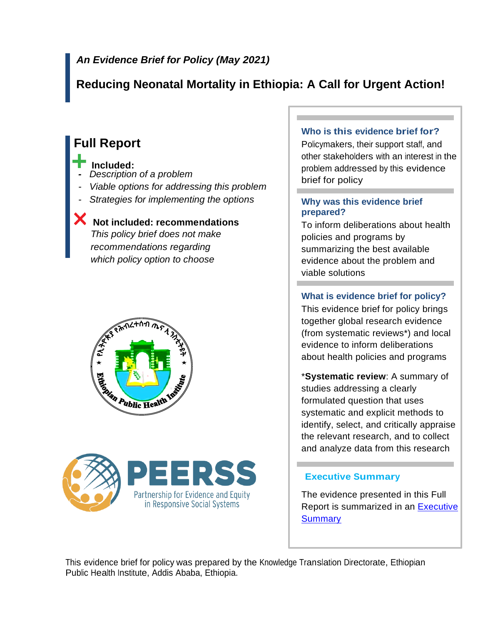# *An Evidence Brief for Policy (May 2021)*

# **Reducing Neonatal Mortality in Ethiopia: A Call for Urgent Action!**

# **Full Report**

#### **Included:**

- *Description of a problem*
- *Viable options for addressing this problem*
- *Strategies for implementing the options*

## **Not included: recommendations**

*This policy brief does not make recommendations regarding which policy option to choose*

# tan Public Health



#### **Who is this evidence brief for?**

Policymakers, their support staff, and other stakeholders with an interest in the problem addressed by this evidence brief for policy

#### **Why was this evidence brief prepared?**

To inform deliberations about health policies and programs by summarizing the best available evidence about the problem and viable solutions

## **What is evidence brief for policy?**

This evidence brief for policy brings together global research evidence (from systematic reviews\*) and local evidence to inform deliberations about health policies and programs

\***Systematic review**: A summary of studies addressing a clearly formulated question that uses systematic and explicit methods to identify, select, and critically appraise the relevant research, and to collect and analyze data from this research

## **Executive Summary**

The evidence presented in this Full Report is summarized in an **Executive [Summary](file:///C:/Users/Jossy/Desktop/Reducing%20Neonatal%20Mortality_Policy%20Brief/Final%20Docs/Final%20Policy%20Briefs/Final/F2-Reducing%20Neonatal%20Mortality%20in%20Ethiopia_A%20Call%20for%20Urgent%20Action!.docx)** 

This evidence brief for policy was prepared by the Knowledge Translation Directorate, Ethiopian Public Health Institute, Addis Ababa, Ethiopia.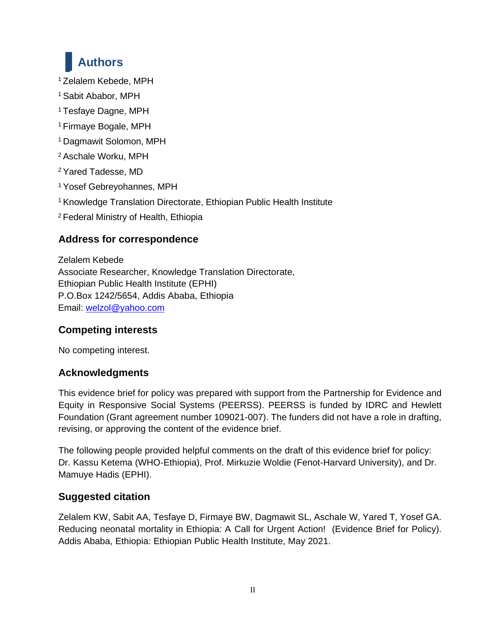# **Authors**

<sup>1</sup> Zelalem Kebede, MPH

- <sup>1</sup> Sabit Ababor, MPH
- <sup>1</sup> Tesfaye Dagne, MPH
- <sup>1</sup> Firmaye Bogale, MPH
- <sup>1</sup> Dagmawit Solomon, MPH
- <sup>2</sup> Aschale Worku, MPH
- <sup>2</sup> Yared Tadesse, MD
- <sup>1</sup> Yosef Gebreyohannes, MPH
- <sup>1</sup> Knowledge Translation Directorate, Ethiopian Public Health Institute
- <sup>2</sup> Federal Ministry of Health, Ethiopia

# **Address for correspondence**

Zelalem Kebede Associate Researcher, Knowledge Translation Directorate, Ethiopian Public Health Institute (EPHI) P.O.Box 1242/5654, Addis Ababa, Ethiopia Email: [welzol@yahoo.com](mailto:welzol@yahoo.com)

# **Competing interests**

No competing interest.

## **Acknowledgments**

This evidence brief for policy was prepared with support from the Partnership for Evidence and Equity in Responsive Social Systems (PEERSS). PEERSS is funded by IDRC and Hewlett Foundation (Grant agreement number 109021-007). The funders did not have a role in drafting, revising, or approving the content of the evidence brief.

The following people provided helpful comments on the draft of this evidence brief for policy: Dr. Kassu Ketema (WHO-Ethiopia), Prof. Mirkuzie Woldie (Fenot-Harvard University), and Dr. Mamuye Hadis (EPHI).

# **Suggested citation**

Zelalem KW, Sabit AA, Tesfaye D, Firmaye BW, Dagmawit SL, Aschale W, Yared T, Yosef GA. Reducing neonatal mortality in Ethiopia: A Call for Urgent Action! (Evidence Brief for Policy). Addis Ababa, Ethiopia: Ethiopian Public Health Institute, May 2021.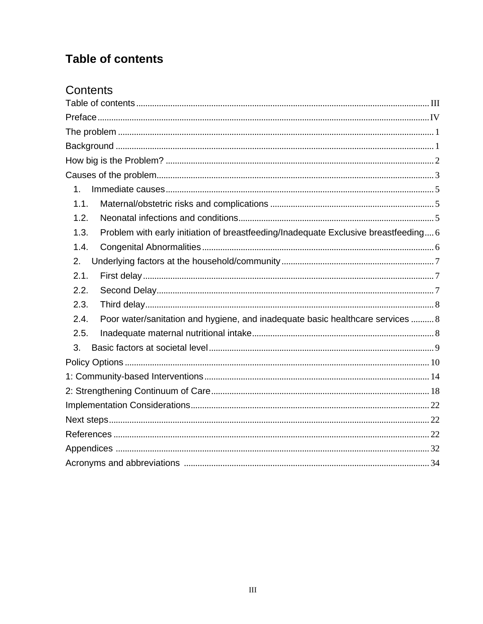# <span id="page-2-0"></span>**Table of contents**

# Contents

| 1.                                                                                          |
|---------------------------------------------------------------------------------------------|
| 1.1.                                                                                        |
| 1.2.                                                                                        |
| Problem with early initiation of breastfeeding/Inadequate Exclusive breastfeeding 6<br>1.3. |
| 1.4.                                                                                        |
| 2.                                                                                          |
| 2.1.                                                                                        |
| 2.2.                                                                                        |
| 2.3.                                                                                        |
| Poor water/sanitation and hygiene, and inadequate basic healthcare services  8<br>2.4.      |
| 2.5.                                                                                        |
| 3.                                                                                          |
|                                                                                             |
|                                                                                             |
|                                                                                             |
|                                                                                             |
|                                                                                             |
|                                                                                             |
|                                                                                             |
|                                                                                             |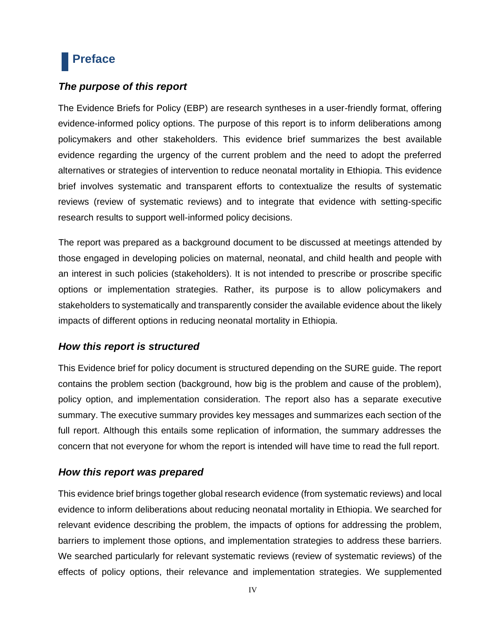# <span id="page-3-0"></span>**Preface**

## *The purpose of this report*

The Evidence Briefs for Policy (EBP) are research syntheses in a user-friendly format, offering evidence-informed policy options. The purpose of this report is to inform deliberations among policymakers and other stakeholders. This evidence brief summarizes the best available evidence regarding the urgency of the current problem and the need to adopt the preferred alternatives or strategies of intervention to reduce neonatal mortality in Ethiopia. This evidence brief involves systematic and transparent efforts to contextualize the results of systematic reviews (review of systematic reviews) and to integrate that evidence with setting-specific research results to support well-informed policy decisions.

The report was prepared as a background document to be discussed at meetings attended by those engaged in developing policies on maternal, neonatal, and child health and people with an interest in such policies (stakeholders). It is not intended to prescribe or proscribe specific options or implementation strategies. Rather, its purpose is to allow policymakers and stakeholders to systematically and transparently consider the available evidence about the likely impacts of different options in reducing neonatal mortality in Ethiopia.

#### *How this report is structured*

This Evidence brief for policy document is structured depending on the SURE guide. The report contains the problem section (background, how big is the problem and cause of the problem), policy option, and implementation consideration. The report also has a separate executive summary. The executive summary provides key messages and summarizes each section of the full report. Although this entails some replication of information, the summary addresses the concern that not everyone for whom the report is intended will have time to read the full report.

#### *How this report was prepared*

This evidence brief brings together global research evidence (from systematic reviews) and local evidence to inform deliberations about reducing neonatal mortality in Ethiopia. We searched for relevant evidence describing the problem, the impacts of options for addressing the problem, barriers to implement those options, and implementation strategies to address these barriers. We searched particularly for relevant systematic reviews (review of systematic reviews) of the effects of policy options, their relevance and implementation strategies. We supplemented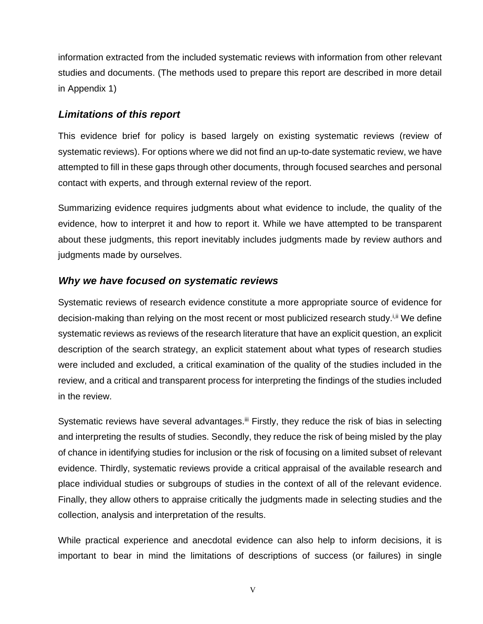information extracted from the included systematic reviews with information from other relevant studies and documents. (The methods used to prepare this report are described in more detail in Appendix 1)

#### *Limitations of this report*

This evidence brief for policy is based largely on existing systematic reviews (review of systematic reviews). For options where we did not find an up-to-date systematic review, we have attempted to fill in these gaps through other documents, through focused searches and personal contact with experts, and through external review of the report.

Summarizing evidence requires judgments about what evidence to include, the quality of the evidence, how to interpret it and how to report it. While we have attempted to be transparent about these judgments, this report inevitably includes judgments made by review authors and judgments made by ourselves.

#### *Why we have focused on systematic reviews*

Systematic reviews of research evidence constitute a more appropriate source of evidence for decision-making than relying on the most recent or most publicized research study.<sup>[i]</sup> We define systematic reviews as reviews of the research literature that have an explicit question, an explicit description of the search strategy, an explicit statement about what types of research studies were included and excluded, a critical examination of the quality of the studies included in the review, and a critical and transparent process for interpreting the findings of the studies included in the review.

Systematic reviews have several advantages.<sup>iii</sup> Firstly, they reduce the risk of bias in selecting and interpreting the results of studies. Secondly, they reduce the risk of being misled by the play of chance in identifying studies for inclusion or the risk of focusing on a limited subset of relevant evidence. Thirdly, systematic reviews provide a critical appraisal of the available research and place individual studies or subgroups of studies in the context of all of the relevant evidence. Finally, they allow others to appraise critically the judgments made in selecting studies and the collection, analysis and interpretation of the results.

While practical experience and anecdotal evidence can also help to inform decisions, it is important to bear in mind the limitations of descriptions of success (or failures) in single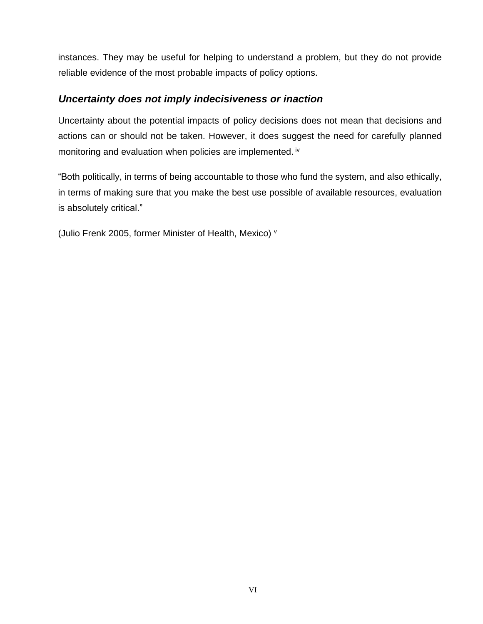instances. They may be useful for helping to understand a problem, but they do not provide reliable evidence of the most probable impacts of policy options.

#### *Uncertainty does not imply indecisiveness or inaction*

Uncertainty about the potential impacts of policy decisions does not mean that decisions and actions can or should not be taken. However, it does suggest the need for carefully planned monitoring and evaluation when policies are implemented. iv

"Both politically, in terms of being accountable to those who fund the system, and also ethically, in terms of making sure that you make the best use possible of available resources, evaluation is absolutely critical."

(Julio Frenk 2005, former Minister of Health, Mexico) <sup>v</sup>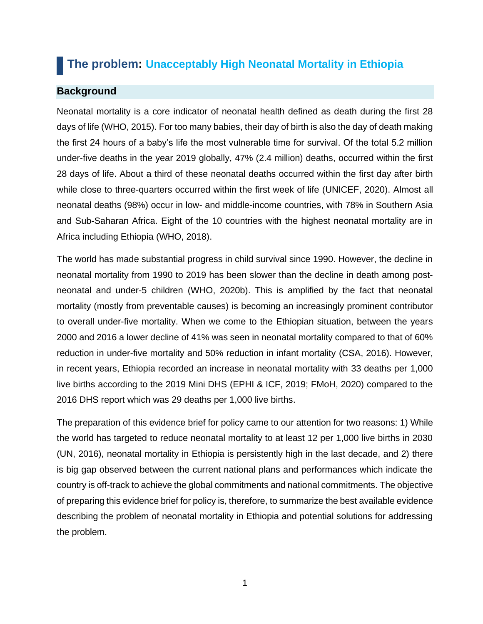# <span id="page-6-0"></span> **The problem: Unacceptably High Neonatal Mortality in Ethiopia**

#### <span id="page-6-1"></span>**Background**

Neonatal mortality is a core indicator of neonatal health defined as death during the first 28 days of life (WHO, 2015). For too many babies, their day of birth is also the day of death making the first 24 hours of a baby's life the most vulnerable time for survival. Of the total 5.2 million under-five deaths in the year 2019 globally, 47% (2.4 million) deaths, occurred within the first 28 days of life. About a third of these neonatal deaths occurred within the first day after birth while close to three-quarters occurred within the first week of life (UNICEF, 2020). Almost all neonatal deaths (98%) occur in low- and middle-income countries, with 78% in Southern Asia and Sub-Saharan Africa. Eight of the 10 countries with the highest neonatal mortality are in Africa including Ethiopia (WHO, 2018).

The world has made substantial progress in child survival since 1990. However, the decline in neonatal mortality from 1990 to 2019 has been slower than the decline in death among postneonatal and under-5 children (WHO, 2020b). This is amplified by the fact that neonatal mortality (mostly from preventable causes) is becoming an increasingly prominent contributor to overall under-five mortality. When we come to the Ethiopian situation, between the years 2000 and 2016 a lower decline of 41% was seen in neonatal mortality compared to that of 60% reduction in under-five mortality and 50% reduction in infant mortality (CSA, 2016). However, in recent years, Ethiopia recorded an increase in neonatal mortality with 33 deaths per 1,000 live births according to the 2019 Mini DHS (EPHI & ICF, 2019; FMoH, 2020) compared to the 2016 DHS report which was 29 deaths per 1,000 live births.

The preparation of this evidence brief for policy came to our attention for two reasons: 1) While the world has targeted to reduce neonatal mortality to at least 12 per 1,000 live births in 2030 (UN, 2016), neonatal mortality in Ethiopia is persistently high in the last decade, and 2) there is big gap observed between the current national plans and performances which indicate the country is off-track to achieve the global commitments and national commitments. The objective of preparing this evidence brief for policy is, therefore, to summarize the best available evidence describing the problem of neonatal mortality in Ethiopia and potential solutions for addressing the problem.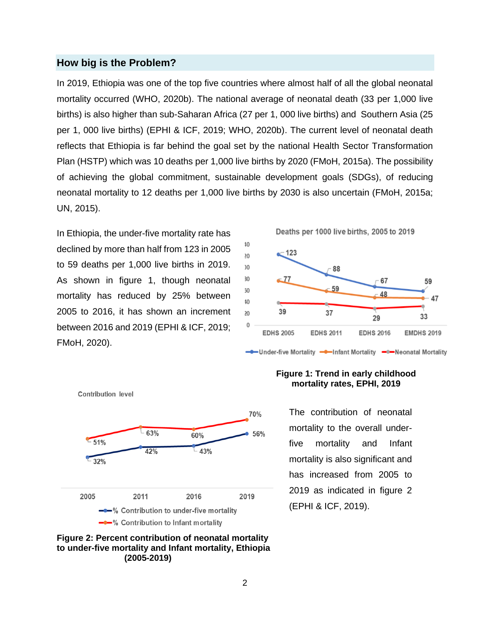#### <span id="page-7-0"></span>**How big is the Problem?**

In 2019, Ethiopia was one of the top five countries where almost half of all the global neonatal mortality occurred (WHO, 2020b). The national average of neonatal death (33 per 1,000 live births) is also higher than sub-Saharan Africa (27 per 1, 000 live births) and Southern Asia (25 per 1, 000 live births) (EPHI & ICF, 2019; WHO, 2020b). The current level of neonatal death reflects that Ethiopia is far behind the goal set by the national Health Sector Transformation Plan (HSTP) which was 10 deaths per 1,000 live births by 2020 (FMoH, 2015a). The possibility of achieving the global commitment, sustainable development goals (SDGs), of reducing neonatal mortality to 12 deaths per 1,000 live births by 2030 is also uncertain (FMoH, 2015a; UN, 2015).

In Ethiopia, the under-five mortality rate has declined by more than half from 123 in 2005 to 59 deaths per 1,000 live births in 2019. As shown in figure 1, though neonatal mortality has reduced by 25% between 2005 to 2016, it has shown an increment between 2016 and 2019 (EPHI & ICF, 2019; FMoH, 2020).



- Under-five Mortality - Infant Mortality - Neonatal Mortality



#### **Figure 2: Percent contribution of neonatal mortality to under-five mortality and Infant mortality, Ethiopia (2005-2019)**

#### **Figure 1: Trend in early childhood mortality rates, EPHI, 2019**

The contribution of neonatal mortality to the overall underfive mortality and Infant mortality is also significant and has increased from 2005 to 2019 as indicated in figure 2 (EPHI & ICF, 2019).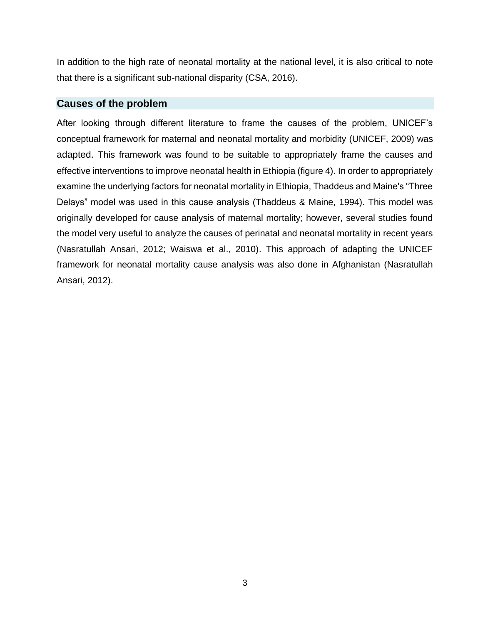In addition to the high rate of neonatal mortality at the national level, it is also critical to note that there is a significant sub-national disparity (CSA, 2016).

#### <span id="page-8-0"></span>**Causes of the problem**

After looking through different literature to frame the causes of the problem, UNICEF's conceptual framework for maternal and neonatal mortality and morbidity (UNICEF, 2009) was adapted. This framework was found to be suitable to appropriately frame the causes and effective interventions to improve neonatal health in Ethiopia (figure 4). In order to appropriately examine the underlying factors for neonatal mortality in Ethiopia, Thaddeus and Maine's "Three Delays" model was used in this cause analysis (Thaddeus & Maine, 1994). This model was originally developed for cause analysis of maternal mortality; however, several studies found the model very useful to analyze the causes of perinatal and neonatal mortality in recent years (Nasratullah Ansari, 2012; Waiswa et al., 2010). This approach of adapting the UNICEF framework for neonatal mortality cause analysis was also done in Afghanistan (Nasratullah Ansari, 2012).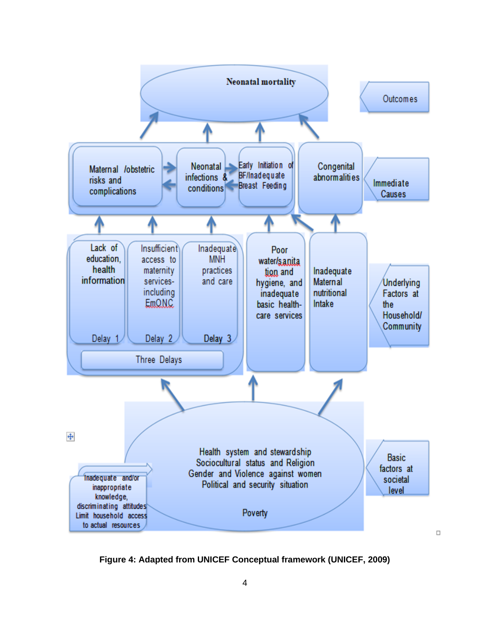

**Figure 4: Adapted from UNICEF Conceptual framework (UNICEF, 2009)**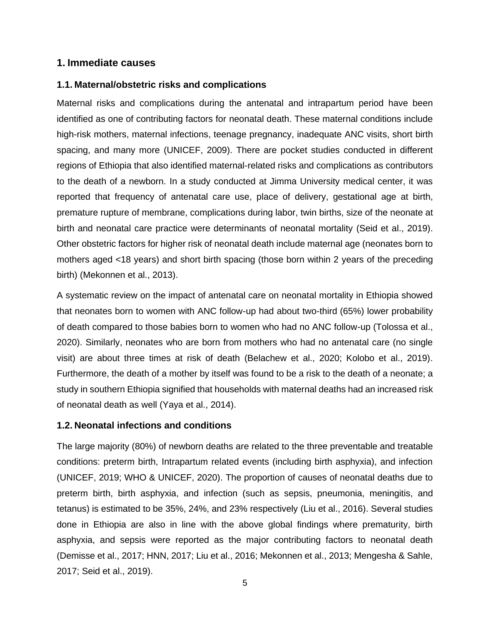#### <span id="page-10-0"></span>**1. Immediate causes**

#### <span id="page-10-1"></span>**1.1. Maternal/obstetric risks and complications**

Maternal risks and complications during the antenatal and intrapartum period have been identified as one of contributing factors for neonatal death. These maternal conditions include high-risk mothers, maternal infections, teenage pregnancy, inadequate ANC visits, short birth spacing, and many more (UNICEF, 2009). There are pocket studies conducted in different regions of Ethiopia that also identified maternal-related risks and complications as contributors to the death of a newborn. In a study conducted at Jimma University medical center, it was reported that frequency of antenatal care use, place of delivery, gestational age at birth, premature rupture of membrane, complications during labor, twin births, size of the neonate at birth and neonatal care practice were determinants of neonatal mortality (Seid et al., 2019). Other obstetric factors for higher risk of neonatal death include maternal age (neonates born to mothers aged <18 years) and short birth spacing (those born within 2 years of the preceding birth) (Mekonnen et al., 2013).

A systematic review on the impact of antenatal care on neonatal mortality in Ethiopia showed that neonates born to women with ANC follow-up had about two-third (65%) lower probability of death compared to those babies born to women who had no ANC follow-up (Tolossa et al., 2020). Similarly, neonates who are born from mothers who had no antenatal care (no single visit) are about three times at risk of death (Belachew et al., 2020; Kolobo et al., 2019). Furthermore, the death of a mother by itself was found to be a risk to the death of a neonate; a study in southern Ethiopia signified that households with maternal deaths had an increased risk of neonatal death as well (Yaya et al., 2014).

#### <span id="page-10-2"></span>**1.2. Neonatal infections and conditions**

The large majority (80%) of newborn deaths are related to the three preventable and treatable conditions: preterm birth, Intrapartum related events (including birth asphyxia), and infection (UNICEF, 2019; WHO & UNICEF, 2020). The proportion of causes of neonatal deaths due to preterm birth, birth asphyxia, and infection (such as sepsis, pneumonia, meningitis, and tetanus) is estimated to be 35%, 24%, and 23% respectively (Liu et al., 2016). Several studies done in Ethiopia are also in line with the above global findings where prematurity, birth asphyxia, and sepsis were reported as the major contributing factors to neonatal death (Demisse et al., 2017; HNN, 2017; Liu et al., 2016; Mekonnen et al., 2013; Mengesha & Sahle, 2017; Seid et al., 2019).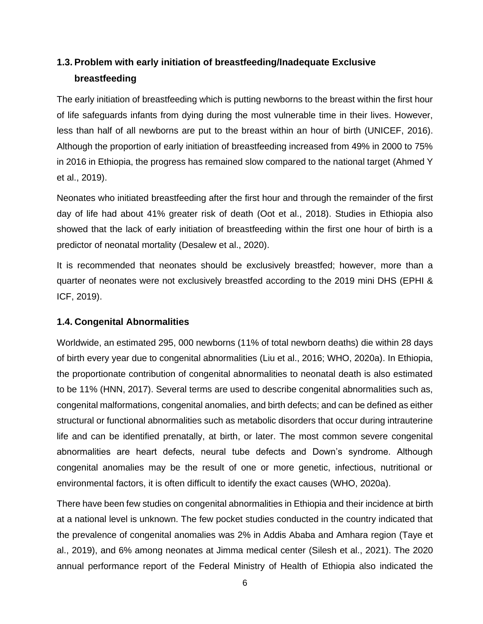# <span id="page-11-0"></span>**1.3. Problem with early initiation of breastfeeding/Inadequate Exclusive breastfeeding**

The early initiation of breastfeeding which is putting newborns to the breast within the first hour of life safeguards infants from dying during the most vulnerable time in their lives. However, less than half of all newborns are put to the breast within an hour of birth (UNICEF, 2016). Although the proportion of early initiation of breastfeeding increased from 49% in 2000 to 75% in 2016 in Ethiopia, the progress has remained slow compared to the national target (Ahmed Y et al., 2019).

Neonates who initiated breastfeeding after the first hour and through the remainder of the first day of life had about 41% greater risk of death (Oot et al., 2018). Studies in Ethiopia also showed that the lack of early initiation of breastfeeding within the first one hour of birth is a predictor of neonatal mortality (Desalew et al., 2020).

It is recommended that neonates should be exclusively breastfed; however, more than a quarter of neonates were not exclusively breastfed according to the 2019 mini DHS (EPHI & ICF, 2019).

#### <span id="page-11-1"></span>**1.4. Congenital Abnormalities**

Worldwide, an estimated 295, 000 newborns (11% of total newborn deaths) die within 28 days of birth every year due to congenital abnormalities (Liu et al., 2016; WHO, 2020a). In Ethiopia, the proportionate contribution of congenital abnormalities to neonatal death is also estimated to be 11% (HNN, 2017). Several terms are used to describe congenital abnormalities such as, congenital malformations, congenital anomalies, and birth defects; and can be defined as either structural or functional abnormalities such as metabolic disorders that occur during intrauterine life and can be identified prenatally, at birth, or later. The most common severe congenital abnormalities are heart defects, neural tube defects and Down's syndrome. Although congenital anomalies may be the result of one or more genetic, infectious, nutritional or environmental factors, it is often difficult to identify the exact causes (WHO, 2020a).

There have been few studies on congenital abnormalities in Ethiopia and their incidence at birth at a national level is unknown. The few pocket studies conducted in the country indicated that the prevalence of congenital anomalies was 2% in Addis Ababa and Amhara region (Taye et al., 2019), and 6% among neonates at Jimma medical center (Silesh et al., 2021). The 2020 annual performance report of the Federal Ministry of Health of Ethiopia also indicated the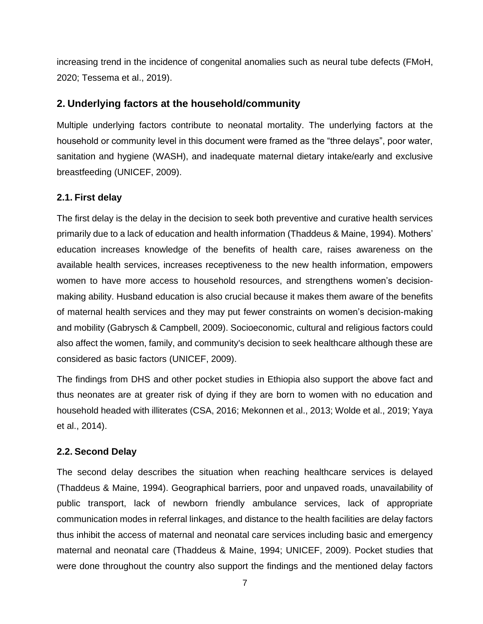increasing trend in the incidence of congenital anomalies such as neural tube defects (FMoH, 2020; Tessema et al., 2019).

#### <span id="page-12-0"></span>**2. Underlying factors at the household/community**

Multiple underlying factors contribute to neonatal mortality. The underlying factors at the household or community level in this document were framed as the "three delays", poor water, sanitation and hygiene (WASH), and inadequate maternal dietary intake/early and exclusive breastfeeding (UNICEF, 2009).

#### <span id="page-12-1"></span>**2.1. First delay**

The first delay is the delay in the decision to seek both preventive and curative health services primarily due to a lack of education and health information (Thaddeus & Maine, 1994). Mothers' education increases knowledge of the benefits of health care, raises awareness on the available health services, increases receptiveness to the new health information, empowers women to have more access to household resources, and strengthens women's decisionmaking ability. Husband education is also crucial because it makes them aware of the benefits of maternal health services and they may put fewer constraints on women's decision-making and mobility (Gabrysch & Campbell, 2009). Socioeconomic, cultural and religious factors could also affect the women, family, and community's decision to seek healthcare although these are considered as basic factors (UNICEF, 2009).

The findings from DHS and other pocket studies in Ethiopia also support the above fact and thus neonates are at greater risk of dying if they are born to women with no education and household headed with illiterates (CSA, 2016; Mekonnen et al., 2013; Wolde et al., 2019; Yaya et al., 2014).

#### <span id="page-12-2"></span>**2.2. Second Delay**

The second delay describes the situation when reaching healthcare services is delayed (Thaddeus & Maine, 1994). Geographical barriers, poor and unpaved roads, unavailability of public transport, lack of newborn friendly ambulance services, lack of appropriate communication modes in referral linkages, and distance to the health facilities are delay factors thus inhibit the access of maternal and neonatal care services including basic and emergency maternal and neonatal care (Thaddeus & Maine, 1994; UNICEF, 2009). Pocket studies that were done throughout the country also support the findings and the mentioned delay factors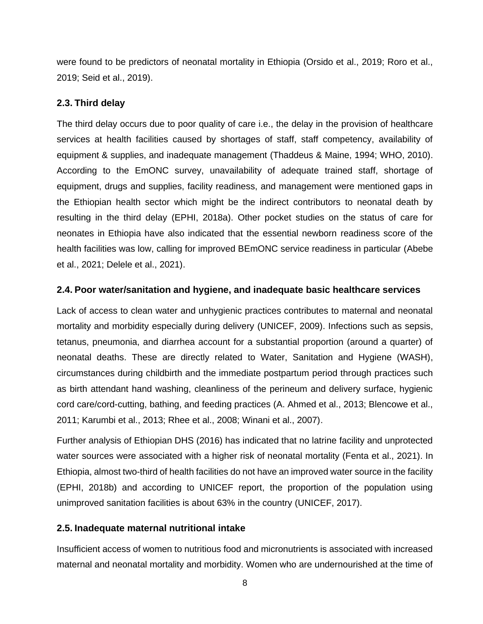were found to be predictors of neonatal mortality in Ethiopia (Orsido et al., 2019; Roro et al., 2019; Seid et al., 2019).

#### <span id="page-13-0"></span>**2.3. Third delay**

The third delay occurs due to poor quality of care i.e., the delay in the provision of healthcare services at health facilities caused by shortages of staff, staff competency, availability of equipment & supplies, and inadequate management (Thaddeus & Maine, 1994; WHO, 2010). According to the EmONC survey, unavailability of adequate trained staff, shortage of equipment, drugs and supplies, facility readiness, and management were mentioned gaps in the Ethiopian health sector which might be the indirect contributors to neonatal death by resulting in the third delay (EPHI, 2018a). Other pocket studies on the status of care for neonates in Ethiopia have also indicated that the essential newborn readiness score of the health facilities was low, calling for improved BEmONC service readiness in particular (Abebe et al., 2021; Delele et al., 2021).

#### <span id="page-13-1"></span>**2.4. Poor water/sanitation and hygiene, and inadequate basic healthcare services**

Lack of access to clean water and unhygienic practices contributes to maternal and neonatal mortality and morbidity especially during delivery (UNICEF, 2009). Infections such as sepsis, tetanus, pneumonia, and diarrhea account for a substantial proportion (around a quarter) of neonatal deaths. These are directly related to Water, Sanitation and Hygiene (WASH), circumstances during childbirth and the immediate postpartum period through practices such as birth attendant hand washing, cleanliness of the perineum and delivery surface, hygienic cord care/cord-cutting, bathing, and feeding practices (A. Ahmed et al., 2013; Blencowe et al., 2011; Karumbi et al., 2013; Rhee et al., 2008; Winani et al., 2007).

Further analysis of Ethiopian DHS (2016) has indicated that no latrine facility and unprotected water sources were associated with a higher risk of neonatal mortality (Fenta et al., 2021). In Ethiopia, almost two-third of health facilities do not have an improved water source in the facility (EPHI, 2018b) and according to UNICEF report, the proportion of the population using unimproved sanitation facilities is about 63% in the country (UNICEF, 2017).

#### <span id="page-13-2"></span>**2.5. Inadequate maternal nutritional intake**

Insufficient access of women to nutritious food and micronutrients is associated with increased maternal and neonatal mortality and morbidity. Women who are undernourished at the time of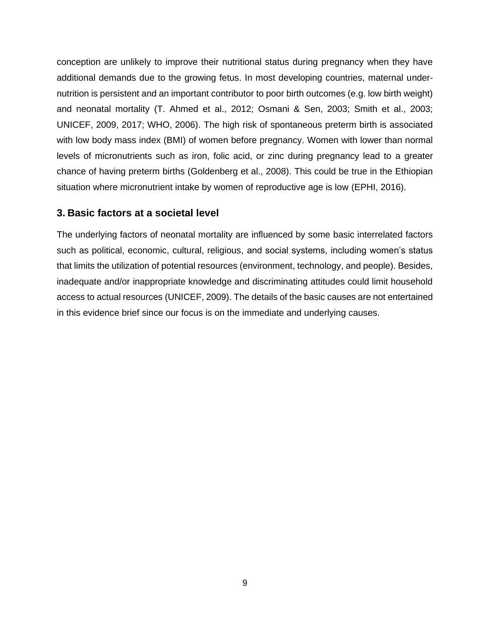conception are unlikely to improve their nutritional status during pregnancy when they have additional demands due to the growing fetus. In most developing countries, maternal undernutrition is persistent and an important contributor to poor birth outcomes (e.g. low birth weight) and neonatal mortality (T. Ahmed et al., 2012; Osmani & Sen, 2003; Smith et al., 2003; UNICEF, 2009, 2017; WHO, 2006). The high risk of spontaneous preterm birth is associated with low body mass index (BMI) of women before pregnancy. Women with lower than normal levels of micronutrients such as iron, folic acid, or zinc during pregnancy lead to a greater chance of having preterm births (Goldenberg et al., 2008). This could be true in the Ethiopian situation where micronutrient intake by women of reproductive age is low (EPHI, 2016).

#### <span id="page-14-0"></span>**3. Basic factors at a societal level**

The underlying factors of neonatal mortality are influenced by some basic interrelated factors such as political, economic, cultural, religious, and social systems, including women's status that limits the utilization of potential resources (environment, technology, and people). Besides, inadequate and/or inappropriate knowledge and discriminating attitudes could limit household access to actual resources (UNICEF, 2009). The details of the basic causes are not entertained in this evidence brief since our focus is on the immediate and underlying causes.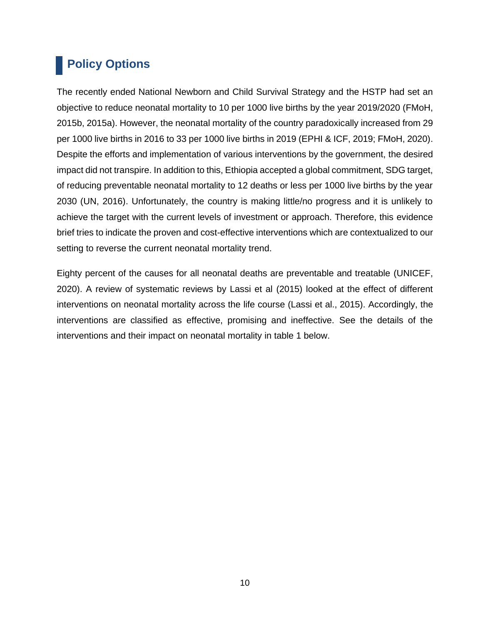# <span id="page-15-0"></span> **Policy Options**

The recently ended National Newborn and Child Survival Strategy and the HSTP had set an objective to reduce neonatal mortality to 10 per 1000 live births by the year 2019/2020 (FMoH, 2015b, 2015a). However, the neonatal mortality of the country paradoxically increased from 29 per 1000 live births in 2016 to 33 per 1000 live births in 2019 (EPHI & ICF, 2019; FMoH, 2020). Despite the efforts and implementation of various interventions by the government, the desired impact did not transpire. In addition to this, Ethiopia accepted a global commitment, SDG target, of reducing preventable neonatal mortality to 12 deaths or less per 1000 live births by the year 2030 (UN, 2016). Unfortunately, the country is making little/no progress and it is unlikely to achieve the target with the current levels of investment or approach. Therefore, this evidence brief tries to indicate the proven and cost-effective interventions which are contextualized to our setting to reverse the current neonatal mortality trend.

Eighty percent of the causes for all neonatal deaths are preventable and treatable (UNICEF, 2020). A review of systematic reviews by Lassi et al (2015) looked at the effect of different interventions on neonatal mortality across the life course (Lassi et al., 2015). Accordingly, the interventions are classified as effective, promising and ineffective. See the details of the interventions and their impact on neonatal mortality in table 1 below.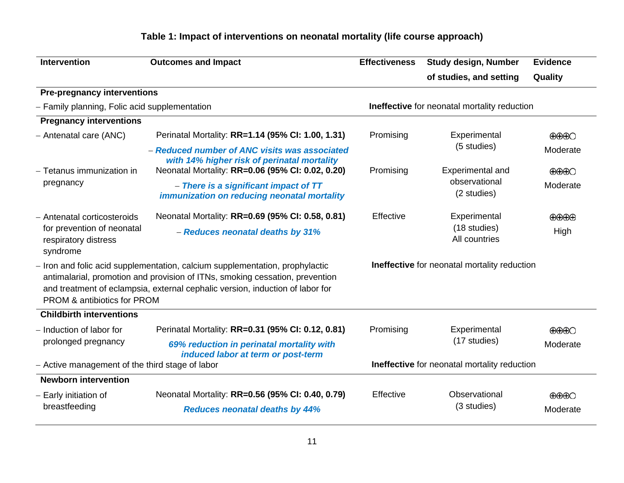# **Table 1: Impact of interventions on neonatal mortality (life course approach)**

| <b>Intervention</b>                                                                                                                                                                                                                                                          | <b>Outcomes and Impact</b>                                                                   | <b>Effectiveness</b> | <b>Study design, Number</b>                         | <b>Evidence</b>                          |
|------------------------------------------------------------------------------------------------------------------------------------------------------------------------------------------------------------------------------------------------------------------------------|----------------------------------------------------------------------------------------------|----------------------|-----------------------------------------------------|------------------------------------------|
|                                                                                                                                                                                                                                                                              |                                                                                              |                      | of studies, and setting                             | Quality                                  |
| <b>Pre-pregnancy interventions</b>                                                                                                                                                                                                                                           |                                                                                              |                      |                                                     |                                          |
| - Family planning, Folic acid supplementation                                                                                                                                                                                                                                |                                                                                              |                      | Ineffective for neonatal mortality reduction        |                                          |
| <b>Pregnancy interventions</b>                                                                                                                                                                                                                                               |                                                                                              |                      |                                                     |                                          |
| - Antenatal care (ANC)                                                                                                                                                                                                                                                       | Perinatal Mortality: RR=1.14 (95% CI: 1.00, 1.31)                                            | Promising            | Experimental                                        | $\bigoplus\bigoplus\bigodot$             |
|                                                                                                                                                                                                                                                                              | - Reduced number of ANC visits was associated<br>with 14% higher risk of perinatal mortality |                      | (5 studies)                                         | Moderate                                 |
| - Tetanus immunization in                                                                                                                                                                                                                                                    | Neonatal Mortality: RR=0.06 (95% CI: 0.02, 0.20)                                             | Promising            | <b>Experimental and</b>                             | $\bigoplus\bigoplus\bigodot$             |
| pregnancy                                                                                                                                                                                                                                                                    | - There is a significant impact of TT<br>immunization on reducing neonatal mortality         |                      | observational<br>(2 studies)                        | Moderate                                 |
| - Antenatal corticosteroids                                                                                                                                                                                                                                                  | Neonatal Mortality: RR=0.69 (95% CI: 0.58, 0.81)                                             | Effective            | Experimental                                        | $\oplus\oplus\oplus$                     |
| for prevention of neonatal<br>respiratory distress<br>syndrome                                                                                                                                                                                                               | - Reduces neonatal deaths by 31%                                                             |                      | (18 studies)<br>All countries                       | High                                     |
| - Iron and folic acid supplementation, calcium supplementation, prophylactic<br>antimalarial, promotion and provision of ITNs, smoking cessation, prevention<br>and treatment of eclampsia, external cephalic version, induction of labor for<br>PROM & antibiotics for PROM |                                                                                              |                      | <b>Ineffective</b> for neonatal mortality reduction |                                          |
| <b>Childbirth interventions</b>                                                                                                                                                                                                                                              |                                                                                              |                      |                                                     |                                          |
| - Induction of labor for                                                                                                                                                                                                                                                     | Perinatal Mortality: RR=0.31 (95% CI: 0.12, 0.81)                                            | Promising            | Experimental                                        | $\bigoplus\bigoplus\bigodot$             |
| prolonged pregnancy                                                                                                                                                                                                                                                          | 69% reduction in perinatal mortality with<br>induced labor at term or post-term              |                      | (17 studies)                                        | Moderate                                 |
| - Active management of the third stage of labor                                                                                                                                                                                                                              |                                                                                              |                      | Ineffective for neonatal mortality reduction        |                                          |
| <b>Newborn intervention</b>                                                                                                                                                                                                                                                  |                                                                                              |                      |                                                     |                                          |
| - Early initiation of<br>breastfeeding                                                                                                                                                                                                                                       | Neonatal Mortality: RR=0.56 (95% CI: 0.40, 0.79)<br><b>Reduces neonatal deaths by 44%</b>    | Effective            | Observational<br>(3 studies)                        | $\bigoplus\bigoplus\bigodot$<br>Moderate |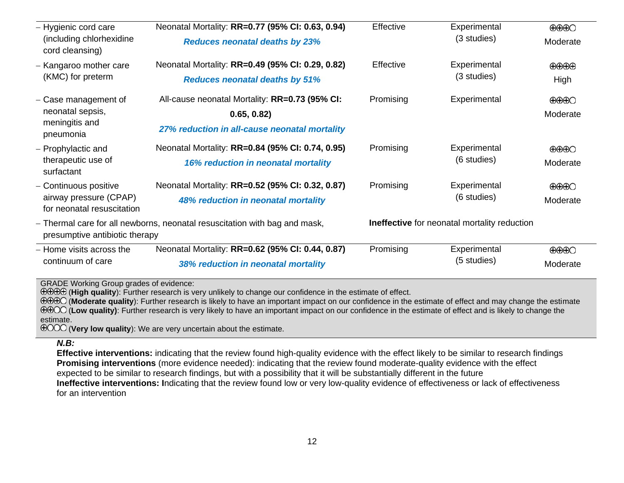| - Hygienic cord care                                 | Neonatal Mortality: RR=0.77 (95% CI: 0.63, 0.94)                           | Effective   | Experimental                                 | $\bigoplus\bigoplus\bigodot$                                                        |
|------------------------------------------------------|----------------------------------------------------------------------------|-------------|----------------------------------------------|-------------------------------------------------------------------------------------|
| (including chlorhexidine<br>cord cleansing)          | <b>Reduces neonatal deaths by 23%</b>                                      |             | (3 studies)                                  | Moderate                                                                            |
| - Kangaroo mother care                               | Neonatal Mortality: RR=0.49 (95% CI: 0.29, 0.82)                           | Effective   | Experimental                                 | $\bigoplus\hspace{-1.5mm}\bigoplus\hspace{-1.5mm}\bigoplus\hspace{-1.5mm}\bigoplus$ |
| (KMC) for preterm                                    | <b>Reduces neonatal deaths by 51%</b>                                      |             | (3 studies)                                  | High                                                                                |
| - Case management of                                 | All-cause neonatal Mortality: RR=0.73 (95% CI:                             | Promising   | Experimental                                 | $\bigoplus\bigoplus\bigodot$                                                        |
| neonatal sepsis,                                     | 0.65, 0.82                                                                 |             |                                              | Moderate                                                                            |
| meningitis and<br>pneumonia                          | 27% reduction in all-cause neonatal mortality                              |             |                                              |                                                                                     |
| - Prophylactic and                                   | Neonatal Mortality: RR=0.84 (95% CI: 0.74, 0.95)                           | Promising   | Experimental                                 | $\bigoplus\bigoplus\bigodot$                                                        |
| therapeutic use of<br>surfactant                     | <b>16% reduction in neonatal mortality</b>                                 |             | (6 studies)                                  | Moderate                                                                            |
| - Continuous positive                                | Neonatal Mortality: RR=0.52 (95% CI: 0.32, 0.87)                           | Promising   | Experimental                                 | $\bigoplus\bigoplus\bigodot$                                                        |
| airway pressure (CPAP)<br>for neonatal resuscitation | 48% reduction in neonatal mortality                                        | (6 studies) |                                              | Moderate                                                                            |
| presumptive antibiotic therapy                       | - Thermal care for all newborns, neonatal resuscitation with bag and mask, |             | Ineffective for neonatal mortality reduction |                                                                                     |
| - Home visits across the                             | Neonatal Mortality: RR=0.62 (95% CI: 0.44, 0.87)                           | Promising   | Experimental                                 | $\bigoplus\bigoplus\bigodot$                                                        |
| continuum of care                                    | 38% reduction in neonatal mortality                                        |             | (5 studies)                                  | Moderate                                                                            |
| <b>GRADE Working Group grades of evidence:</b>       |                                                                            |             |                                              |                                                                                     |

(**High quality**): Further research is very unlikely to change our confidence in the estimate of effect.

(**Moderate quality**): Further research is likely to have an important impact on our confidence in the estimate of effect and may change the estimate **EEOO** (Low quality): Further research is very likely to have an important impact on our confidence in the estimate of effect and is likely to change the estimate.

(**Very low quality**): We are very uncertain about the estimate.

#### *N.B:*

**Effective interventions:** indicating that the review found high-quality evidence with the effect likely to be similar to research findings **Promising interventions** (more evidence needed): indicating that the review found moderate-quality evidence with the effect expected to be similar to research findings, but with a possibility that it will be substantially different in the future **Ineffective interventions: I**ndicating that the review found low or very low-quality evidence of effectiveness or lack of effectiveness for an intervention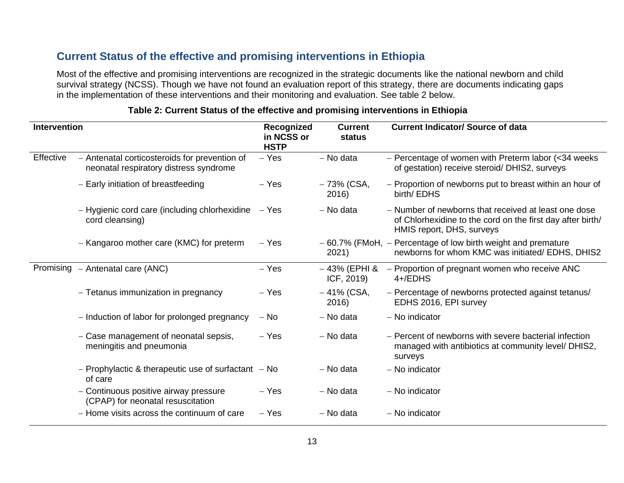# **Current Status of the effective and promising interventions in Ethiopia**

Most of the effective and promising interventions are recognized in the strategic documents like the national newborn and child survival strategy (NCSS). Though we have not found an evaluation report of this strategy, there are documents indicating gaps in the implementation of these interventions and their monitoring and evaluation. See table 2 below.

| Intervention |                                                                                         | Recognized<br>in NCSS or<br><b>HSTP</b> | <b>Current</b><br>status    | <b>Current Indicator/ Source of data</b>                                                                                                        |
|--------------|-----------------------------------------------------------------------------------------|-----------------------------------------|-----------------------------|-------------------------------------------------------------------------------------------------------------------------------------------------|
| Effective    | - Antenatal corticosteroids for prevention of<br>neonatal respiratory distress syndrome | $-$ Yes                                 | - No data                   | - Percentage of women with Preterm labor ( $<$ 34 weeks<br>of gestation) receive steroid/ DHIS2, surveys                                        |
|              | - Early initiation of breastfeeding                                                     | – Yes                                   | – 73% (CSA,<br>2016)        | - Proportion of newborns put to breast within an hour of<br>birth/ EDHS                                                                         |
|              | - Hygienic cord care (including chlorhexidine<br>cord cleansing)                        | – Yes                                   | - No data                   | - Number of newborns that received at least one dose<br>of Chlorhexidine to the cord on the first day after birth/<br>HMIS report, DHS, surveys |
|              | - Kangaroo mother care (KMC) for preterm                                                | – Yes                                   | 2021)                       | $-60.7\%$ (FMoH, $-$ Percentage of low birth weight and premature<br>newborns for whom KMC was initiated/ EDHS, DHIS2                           |
| Promising    | - Antenatal care (ANC)                                                                  | $-$ Yes                                 | – 43% (EPHI &<br>ICF, 2019) | - Proportion of pregnant women who receive ANC<br>$4+$ /EDHS                                                                                    |
|              | - Tetanus immunization in pregnancy                                                     | $-$ Yes                                 | $-41\%$ (CSA,<br>2016)      | - Percentage of newborns protected against tetanus/<br>EDHS 2016, EPI survey                                                                    |
|              | - Induction of labor for prolonged pregnancy                                            | $-$ No                                  | - No data                   | - No indicator                                                                                                                                  |
|              | - Case management of neonatal sepsis,<br>meningitis and pneumonia                       | – Yes                                   | - No data                   | - Percent of newborns with severe bacterial infection<br>managed with antibiotics at community level/ DHIS2,<br>surveys                         |
|              | - Prophylactic & therapeutic use of surfactant $-$ No<br>of care                        |                                         | - No data                   | - No indicator                                                                                                                                  |
|              | - Continuous positive airway pressure<br>(CPAP) for neonatal resuscitation              | $-$ Yes                                 | – No data                   | - No indicator                                                                                                                                  |
|              | - Home visits across the continuum of care                                              | – Yes                                   | - No data                   | - No indicator                                                                                                                                  |

#### **Table 2: Current Status of the effective and promising interventions in Ethiopia**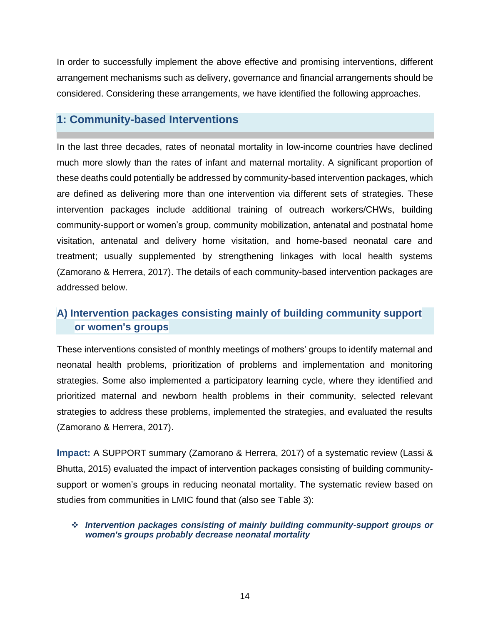In order to successfully implement the above effective and promising interventions, different arrangement mechanisms such as delivery, governance and financial arrangements should be considered. Considering these arrangements, we have identified the following approaches.

## <span id="page-19-0"></span>**1: Community-based Interventions**

In the last three decades, rates of neonatal mortality in low-income countries have declined much more slowly than the rates of infant and maternal mortality. A significant proportion of these deaths could potentially be addressed by community-based intervention packages, which are defined as delivering more than one intervention via different sets of strategies. These intervention packages include additional training of outreach workers/CHWs, building community-support or women's group, community mobilization, antenatal and postnatal home visitation, antenatal and delivery home visitation, and home-based neonatal care and treatment; usually supplemented by strengthening linkages with local health systems (Zamorano & Herrera, 2017). The details of each community-based intervention packages are addressed below.

# **A) Intervention packages consisting mainly of building community support or women's groups**

These interventions consisted of monthly meetings of mothers' groups to identify maternal and neonatal health problems, prioritization of problems and implementation and monitoring strategies. Some also implemented a participatory learning cycle, where they identified and prioritized maternal and newborn health problems in their community, selected relevant strategies to address these problems, implemented the strategies, and evaluated the results (Zamorano & Herrera, 2017).

**Impact:** A SUPPORT summary (Zamorano & Herrera, 2017) of a systematic review (Lassi & Bhutta, 2015) evaluated the impact of intervention packages consisting of building communitysupport or women's groups in reducing neonatal mortality. The systematic review based on studies from communities in LMIC found that (also see Table 3):

#### ❖ *Intervention packages consisting of mainly building community-support groups or women's groups probably decrease neonatal mortality*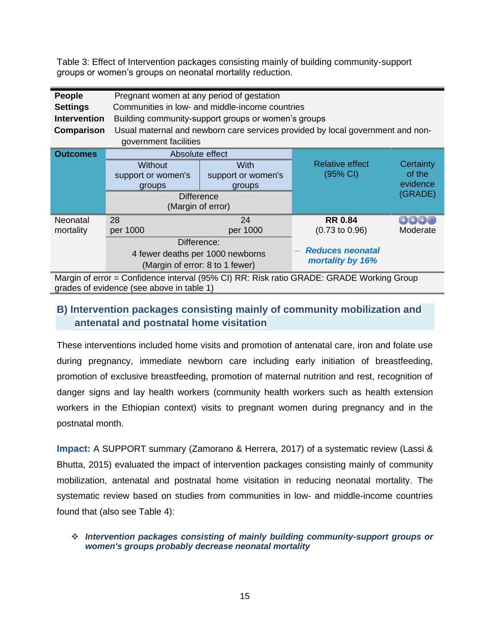Table 3: Effect of Intervention packages consisting mainly of building community-support groups or women's groups on neonatal mortality reduction.

| People                                                                                   | Pregnant women at any period of gestation                                      |                    |                           |           |
|------------------------------------------------------------------------------------------|--------------------------------------------------------------------------------|--------------------|---------------------------|-----------|
| <b>Settings</b>                                                                          | Communities in low- and middle-income countries                                |                    |                           |           |
| <b>Intervention</b>                                                                      | Building community-support groups or women's groups                            |                    |                           |           |
| Comparison                                                                               | Usual maternal and newborn care services provided by local government and non- |                    |                           |           |
|                                                                                          | government facilities                                                          |                    |                           |           |
| Outcomes                                                                                 | Absolute effect                                                                |                    |                           |           |
|                                                                                          | <b>Without</b>                                                                 | <b>With</b>        | <b>Relative effect</b>    | Certainty |
|                                                                                          | support or women's                                                             | support or women's | (95% CI)                  | of the    |
|                                                                                          | groups                                                                         | groups             |                           | evidence  |
|                                                                                          | (GRADE)<br><b>Difference</b>                                                   |                    |                           |           |
|                                                                                          | (Margin of error)                                                              |                    |                           |           |
| Neonatal                                                                                 | 28                                                                             | 24                 | <b>RR 0.84</b>            | 0000      |
| mortality                                                                                | per 1000                                                                       | per 1000           | $(0.73 \text{ to } 0.96)$ | Moderate  |
|                                                                                          | Difference:                                                                    |                    |                           |           |
|                                                                                          | 4 fewer deaths per 1000 newborns                                               |                    | <b>Reduces neonatal</b>   |           |
|                                                                                          | mortality by 16%<br>(Margin of error: 8 to 1 fewer)                            |                    |                           |           |
| Margin of error = Confidence interval (95% CI) RR: Risk ratio GRADE: GRADE Working Group |                                                                                |                    |                           |           |

grades of evidence (see above in table 1)

# **B) Intervention packages consisting mainly of community mobilization and antenatal and postnatal home visitation**

These interventions included home visits and promotion of antenatal care, iron and folate use during pregnancy, immediate newborn care including early initiation of breastfeeding, promotion of exclusive breastfeeding, promotion of maternal nutrition and rest, recognition of danger signs and lay health workers (community health workers such as health extension workers in the Ethiopian context) visits to pregnant women during pregnancy and in the postnatal month.

**Impact:** A SUPPORT summary (Zamorano & Herrera, 2017) of a systematic review (Lassi & Bhutta, 2015) evaluated the impact of intervention packages consisting mainly of community mobilization, antenatal and postnatal home visitation in reducing neonatal mortality. The systematic review based on studies from communities in low- and middle-income countries found that (also see Table 4):

#### ❖ *Intervention packages consisting of mainly building community-support groups or women's groups probably decrease neonatal mortality*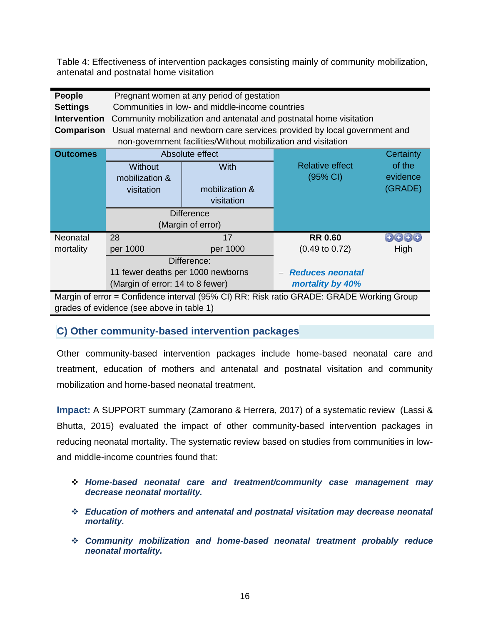Table 4: Effectiveness of intervention packages consisting mainly of community mobilization, antenatal and postnatal home visitation

| People                                                                                   | Pregnant women at any period of gestation            |                                                               |                                                                           |           |
|------------------------------------------------------------------------------------------|------------------------------------------------------|---------------------------------------------------------------|---------------------------------------------------------------------------|-----------|
| <b>Settings</b>                                                                          | Communities in low- and middle-income countries      |                                                               |                                                                           |           |
| <b>Intervention</b>                                                                      |                                                      |                                                               | Community mobilization and antenatal and postnatal home visitation        |           |
| Comparison                                                                               |                                                      |                                                               | Usual maternal and newborn care services provided by local government and |           |
|                                                                                          |                                                      | non-government facilities/Without mobilization and visitation |                                                                           |           |
| <b>Outcomes</b>                                                                          |                                                      | Absolute effect                                               |                                                                           | Certainty |
|                                                                                          | <b>Without</b>                                       | With                                                          | <b>Relative effect</b>                                                    | of the    |
|                                                                                          | mobilization &                                       |                                                               | $(95% \text{ Cl})$                                                        | evidence  |
|                                                                                          | visitation                                           | mobilization &                                                |                                                                           | (GRADE)   |
|                                                                                          |                                                      | visitation                                                    |                                                                           |           |
|                                                                                          | <b>Difference</b>                                    |                                                               |                                                                           |           |
|                                                                                          | (Margin of error)                                    |                                                               |                                                                           |           |
| Neonatal                                                                                 | 28                                                   | 17                                                            | <b>RR 0.60</b>                                                            | 0000      |
| mortality                                                                                | per 1000                                             | per 1000                                                      | $(0.49 \text{ to } 0.72)$                                                 | High      |
|                                                                                          | Difference:                                          |                                                               |                                                                           |           |
|                                                                                          | 11 fewer deaths per 1000 newborns                    |                                                               | <b>Reduces neonatal</b>                                                   |           |
|                                                                                          | (Margin of error: 14 to 8 fewer)<br>mortality by 40% |                                                               |                                                                           |           |
| Margin of error = Confidence interval (95% CI) RR: Risk ratio GRADE: GRADE Working Group |                                                      |                                                               |                                                                           |           |
| grades of evidence (see above in table 1)                                                |                                                      |                                                               |                                                                           |           |

**C) Other community-based intervention packages** 

Other community-based intervention packages include home-based neonatal care and treatment, education of mothers and antenatal and postnatal visitation and community mobilization and home-based neonatal treatment.

**Impact:** A SUPPORT summary (Zamorano & Herrera, 2017) of a systematic review (Lassi & Bhutta, 2015) evaluated the impact of other community-based intervention packages in reducing neonatal mortality. The systematic review based on studies from communities in lowand middle-income countries found that:

- ❖ *Home-based neonatal care and treatment/community case management may decrease neonatal mortality.*
- ❖ *Education of mothers and antenatal and postnatal visitation may decrease neonatal mortality.*
- ❖ *Community mobilization and home-based neonatal treatment probably reduce neonatal mortality.*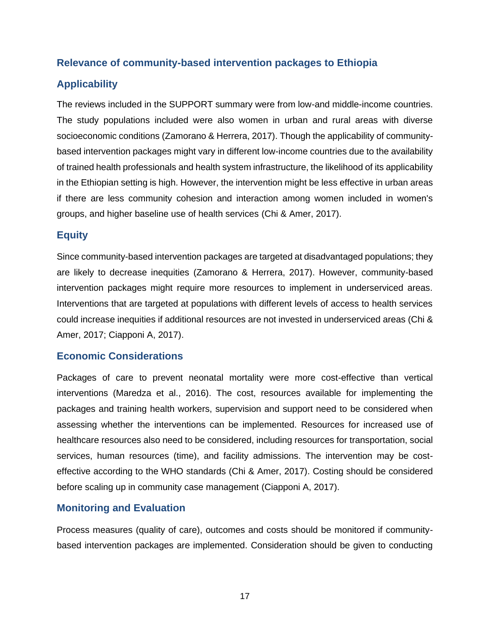#### **Relevance of community-based intervention packages to Ethiopia**

## **Applicability**

The reviews included in the SUPPORT summary were from low-and middle-income countries. The study populations included were also women in urban and rural areas with diverse socioeconomic conditions (Zamorano & Herrera, 2017). Though the applicability of communitybased intervention packages might vary in different low-income countries due to the availability of trained health professionals and health system infrastructure, the likelihood of its applicability in the Ethiopian setting is high. However, the intervention might be less effective in urban areas if there are less community cohesion and interaction among women included in women's groups, and higher baseline use of health services (Chi & Amer, 2017).

#### **Equity**

Since community-based intervention packages are targeted at disadvantaged populations; they are likely to decrease inequities (Zamorano & Herrera, 2017). However, community-based intervention packages might require more resources to implement in underserviced areas. Interventions that are targeted at populations with different levels of access to health services could increase inequities if additional resources are not invested in underserviced areas (Chi & Amer, 2017; Ciapponi A, 2017).

#### **Economic Considerations**

Packages of care to prevent neonatal mortality were more cost-effective than vertical interventions (Maredza et al., 2016). The cost, resources available for implementing the packages and training health workers, supervision and support need to be considered when assessing whether the interventions can be implemented. Resources for increased use of healthcare resources also need to be considered, including resources for transportation, social services, human resources (time), and facility admissions. The intervention may be costeffective according to the WHO standards (Chi & Amer, 2017). Costing should be considered before scaling up in community case management (Ciapponi A, 2017).

#### **Monitoring and Evaluation**

Process measures (quality of care), outcomes and costs should be monitored if communitybased intervention packages are implemented. Consideration should be given to conducting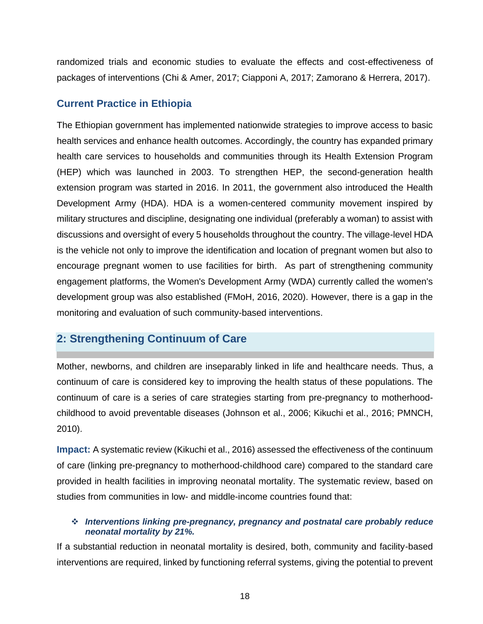randomized trials and economic studies to evaluate the effects and cost-effectiveness of packages of interventions (Chi & Amer, 2017; Ciapponi A, 2017; Zamorano & Herrera, 2017).

#### **Current Practice in Ethiopia**

The Ethiopian government has implemented nationwide strategies to improve access to basic health services and enhance health outcomes. Accordingly, the country has expanded primary health care services to households and communities through its Health Extension Program (HEP) which was launched in 2003. To strengthen HEP, the second-generation health extension program was started in 2016. In 2011, the government also introduced the Health Development Army (HDA). HDA is a women-centered community movement inspired by military structures and discipline, designating one individual (preferably a woman) to assist with discussions and oversight of every 5 households throughout the country. The village-level HDA is the vehicle not only to improve the identification and location of pregnant women but also to encourage pregnant women to use facilities for birth. As part of strengthening community engagement platforms, the Women's Development Army (WDA) currently called the women's development group was also established (FMoH, 2016, 2020). However, there is a gap in the monitoring and evaluation of such community-based interventions.

# <span id="page-23-0"></span>**2: Strengthening Continuum of Care**

Mother, newborns, and children are inseparably linked in life and healthcare needs. Thus, a continuum of care is considered key to improving the health status of these populations. The continuum of care is a series of care strategies starting from pre-pregnancy to motherhoodchildhood to avoid preventable diseases (Johnson et al., 2006; Kikuchi et al., 2016; PMNCH, 2010).

**Impact:** A systematic review (Kikuchi et al., 2016) assessed the effectiveness of the continuum of care (linking pre-pregnancy to motherhood-childhood care) compared to the standard care provided in health facilities in improving neonatal mortality. The systematic review, based on studies from communities in low- and middle-income countries found that:

#### ❖ *Interventions linking pre-pregnancy, pregnancy and postnatal care probably reduce neonatal mortality by 21%.*

If a substantial reduction in neonatal mortality is desired, both, community and facility-based interventions are required, linked by functioning referral systems, giving the potential to prevent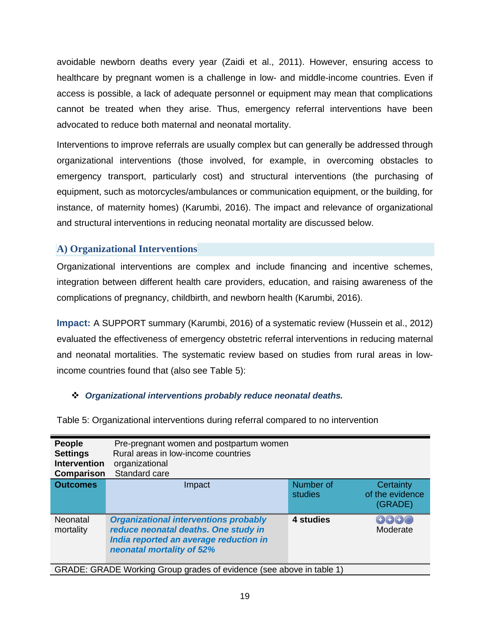avoidable newborn deaths every year (Zaidi et al., 2011). However, ensuring access to healthcare by pregnant women is a challenge in low- and middle-income countries. Even if access is possible, a lack of adequate personnel or equipment may mean that complications cannot be treated when they arise. Thus, emergency referral interventions have been advocated to reduce both maternal and neonatal mortality.

Interventions to improve referrals are usually complex but can generally be addressed through organizational interventions (those involved, for example, in overcoming obstacles to emergency transport, particularly cost) and structural interventions (the purchasing of equipment, such as motorcycles/ambulances or communication equipment, or the building, for instance, of maternity homes) (Karumbi, 2016). The impact and relevance of organizational and structural interventions in reducing neonatal mortality are discussed below.

#### **A) Organizational Interventions**

Organizational interventions are complex and include financing and incentive schemes, integration between different health care providers, education, and raising awareness of the complications of pregnancy, childbirth, and newborn health (Karumbi, 2016).

**Impact:** A SUPPORT summary (Karumbi, 2016) of a systematic review (Hussein et al., 2012) evaluated the effectiveness of emergency obstetric referral interventions in reducing maternal and neonatal mortalities. The systematic review based on studies from rural areas in lowincome countries found that (also see Table 5):

#### ❖ *Organizational interventions probably reduce neonatal deaths.*

| People<br><b>Settings</b><br><b>Intervention</b><br>Comparison | Pre-pregnant women and postpartum women<br>Rural areas in low-income countries<br>organizational<br>Standard care                                           |                      |                                                |
|----------------------------------------------------------------|-------------------------------------------------------------------------------------------------------------------------------------------------------------|----------------------|------------------------------------------------|
| <b>Outcomes</b>                                                | Impact                                                                                                                                                      | Number of<br>studies | <b>Certainty</b><br>of the evidence<br>(GRADE) |
| <b>Neonatal</b><br>mortality                                   | <b>Organizational interventions probably</b><br>reduce neonatal deaths. One study in<br>India reported an average reduction in<br>neonatal mortality of 52% | 4 studies            | 0000<br>Moderate                               |

Table 5: Organizational interventions during referral compared to no intervention

GRADE: GRADE Working Group grades of evidence (see above in table 1)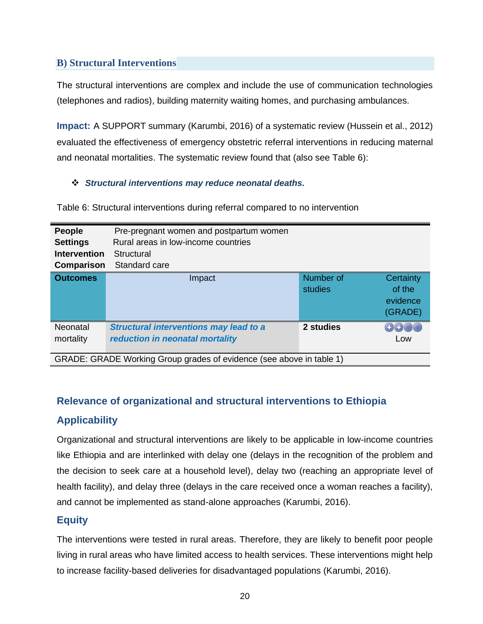## **B) Structural Interventions**

The structural interventions are complex and include the use of communication technologies (telephones and radios), building maternity waiting homes, and purchasing ambulances.

**Impact:** A SUPPORT summary (Karumbi, 2016) of a systematic review (Hussein et al., 2012) evaluated the effectiveness of emergency obstetric referral interventions in reducing maternal and neonatal mortalities. The systematic review found that (also see Table 6):

#### ❖ *Structural interventions may reduce neonatal deaths.*

**People** Pre-pregnant women and postpartum women **Settings** Rural areas in low-income countries **Intervention** Structural **Comparison** Standard care **Outcomes Impact Impact Number of Number of Certainty** studies of the evidence (GRADE) **Neonatal** *Structural interventions may lead to a*  **2 studies** 0000 *reduction in neonatal mortality* mortality Low GRADE: GRADE Working Group grades of evidence (see above in table 1)

Table 6: Structural interventions during referral compared to no intervention

# **Relevance of organizational and structural interventions to Ethiopia**

# **Applicability**

Organizational and structural interventions are likely to be applicable in low-income countries like Ethiopia and are interlinked with delay one (delays in the recognition of the problem and the decision to seek care at a household level), delay two (reaching an appropriate level of health facility), and delay three (delays in the care received once a woman reaches a facility), and cannot be implemented as stand-alone approaches (Karumbi, 2016).

# **Equity**

The interventions were tested in rural areas. Therefore, they are likely to benefit poor people living in rural areas who have limited access to health services. These interventions might help to increase facility-based deliveries for disadvantaged populations (Karumbi, 2016).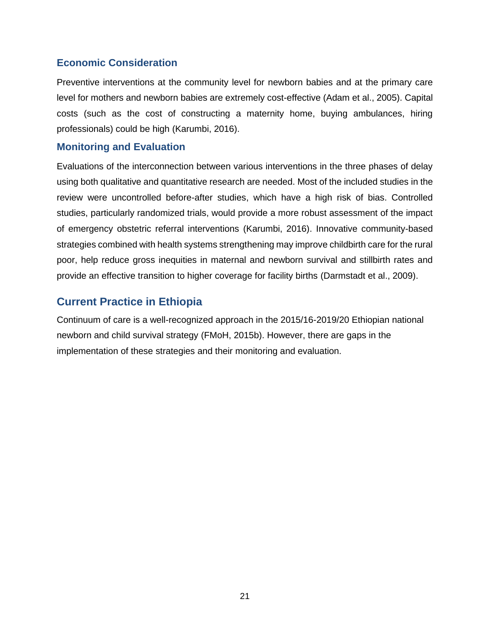## **Economic Consideration**

Preventive interventions at the community level for newborn babies and at the primary care level for mothers and newborn babies are extremely cost-effective (Adam et al., 2005). Capital costs (such as the cost of constructing a maternity home, buying ambulances, hiring professionals) could be high (Karumbi, 2016).

#### **Monitoring and Evaluation**

Evaluations of the interconnection between various interventions in the three phases of delay using both qualitative and quantitative research are needed. Most of the included studies in the review were uncontrolled before-after studies, which have a high risk of bias. Controlled studies, particularly randomized trials, would provide a more robust assessment of the impact of emergency obstetric referral interventions (Karumbi, 2016). Innovative community-based strategies combined with health systems strengthening may improve childbirth care for the rural poor, help reduce gross inequities in maternal and newborn survival and stillbirth rates and provide an effective transition to higher coverage for facility births (Darmstadt et al., 2009).

# **Current Practice in Ethiopia**

Continuum of care is a well-recognized approach in the 2015/16-2019/20 Ethiopian national newborn and child survival strategy (FMoH, 2015b). However, there are gaps in the implementation of these strategies and their monitoring and evaluation.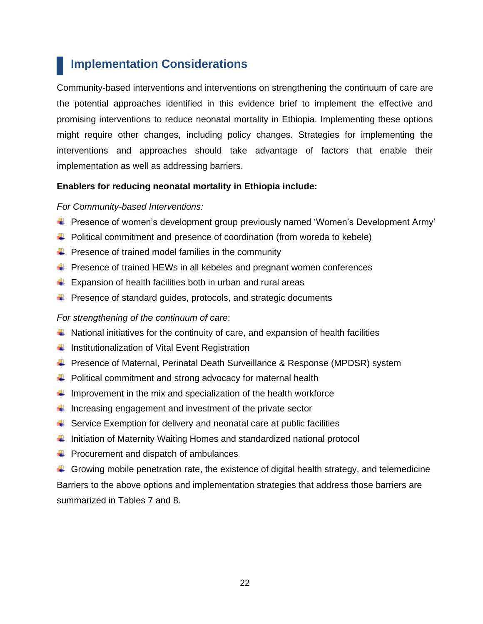# <span id="page-27-0"></span> **Implementation Considerations**

Community-based interventions and interventions on strengthening the continuum of care are the potential approaches identified in this evidence brief to implement the effective and promising interventions to reduce neonatal mortality in Ethiopia. Implementing these options might require other changes, including policy changes. Strategies for implementing the interventions and approaches should take advantage of factors that enable their implementation as well as addressing barriers.

#### **Enablers for reducing neonatal mortality in Ethiopia include:**

#### *For Community-based Interventions:*

- Presence of women's development group previously named 'Women's Development Army'
- $\downarrow$  Political commitment and presence of coordination (from woreda to kebele)
- $\downarrow$  Presence of trained model families in the community
- $\ddot{\bullet}$  Presence of trained HEWs in all kebeles and pregnant women conferences
- $\ddot{+}$  Expansion of health facilities both in urban and rural areas
- $\ddot{\phantom{1}}$  Presence of standard guides, protocols, and strategic documents

#### *For strengthening of the continuum of care*:

- $\ddot{\phantom{1}}$  National initiatives for the continuity of care, and expansion of health facilities
- $\ddot{\phantom{1}}$  Institutionalization of Vital Event Registration
- **E** Presence of Maternal, Perinatal Death Surveillance & Response (MPDSR) system
- $\ddot{\phantom{1}}$  Political commitment and strong advocacy for maternal health
- Improvement in the mix and specialization of the health workforce
- $\ddot{\phantom{1}}$  Increasing engagement and investment of the private sector
- $\ddot{\phantom{1}}$  Service Exemption for delivery and neonatal care at public facilities
- Initiation of Maternity Waiting Homes and standardized national protocol
- $\leftarrow$  Procurement and dispatch of ambulances
- Growing mobile penetration rate, the existence of digital health strategy, and telemedicine Barriers to the above options and implementation strategies that address those barriers are summarized in Tables 7 and 8.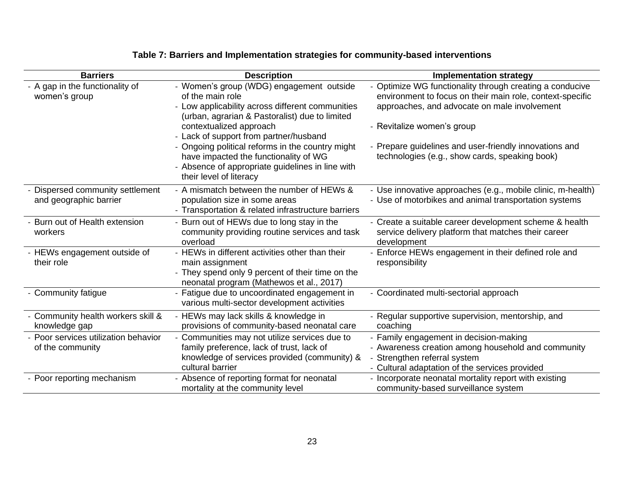| <b>Barriers</b>                                          | <b>Description</b>                                                                                                                                                                                                                                                                                                                                                                                                  | <b>Implementation strategy</b>                                                                                                                                                                                                                                                                                  |
|----------------------------------------------------------|---------------------------------------------------------------------------------------------------------------------------------------------------------------------------------------------------------------------------------------------------------------------------------------------------------------------------------------------------------------------------------------------------------------------|-----------------------------------------------------------------------------------------------------------------------------------------------------------------------------------------------------------------------------------------------------------------------------------------------------------------|
| - A gap in the functionality of<br>women's group         | - Women's group (WDG) engagement outside<br>of the main role<br>- Low applicability across different communities<br>(urban, agrarian & Pastoralist) due to limited<br>contextualized approach<br>- Lack of support from partner/husband<br>- Ongoing political reforms in the country might<br>have impacted the functionality of WG<br>- Absence of appropriate guidelines in line with<br>their level of literacy | - Optimize WG functionality through creating a conducive<br>environment to focus on their main role, context-specific<br>approaches, and advocate on male involvement<br>- Revitalize women's group<br>- Prepare guidelines and user-friendly innovations and<br>technologies (e.g., show cards, speaking book) |
| Dispersed community settlement<br>and geographic barrier | - A mismatch between the number of HEWs &<br>population size in some areas<br>- Transportation & related infrastructure barriers                                                                                                                                                                                                                                                                                    | - Use innovative approaches (e.g., mobile clinic, m-health)<br>- Use of motorbikes and animal transportation systems                                                                                                                                                                                            |
| Burn out of Health extension<br>workers                  | - Burn out of HEWs due to long stay in the<br>community providing routine services and task<br>overload                                                                                                                                                                                                                                                                                                             | - Create a suitable career development scheme & health<br>service delivery platform that matches their career<br>development                                                                                                                                                                                    |
| - HEWs engagement outside of<br>their role               | - HEWs in different activities other than their<br>main assignment<br>- They spend only 9 percent of their time on the<br>neonatal program (Mathewos et al., 2017)                                                                                                                                                                                                                                                  | Enforce HEWs engagement in their defined role and<br>responsibility                                                                                                                                                                                                                                             |
| - Community fatigue                                      | - Fatigue due to uncoordinated engagement in<br>various multi-sector development activities                                                                                                                                                                                                                                                                                                                         | - Coordinated multi-sectorial approach                                                                                                                                                                                                                                                                          |
| Community health workers skill &<br>knowledge gap        | - HEWs may lack skills & knowledge in<br>provisions of community-based neonatal care                                                                                                                                                                                                                                                                                                                                | - Regular supportive supervision, mentorship, and<br>coaching                                                                                                                                                                                                                                                   |
| Poor services utilization behavior<br>of the community   | Communities may not utilize services due to<br>family preference, lack of trust, lack of<br>knowledge of services provided (community) &<br>cultural barrier                                                                                                                                                                                                                                                        | - Family engagement in decision-making<br>- Awareness creation among household and community<br>Strengthen referral system<br>- Cultural adaptation of the services provided                                                                                                                                    |
| - Poor reporting mechanism                               | - Absence of reporting format for neonatal<br>mortality at the community level                                                                                                                                                                                                                                                                                                                                      | - Incorporate neonatal mortality report with existing<br>community-based surveillance system                                                                                                                                                                                                                    |

# **Table 7: Barriers and Implementation strategies for community-based interventions**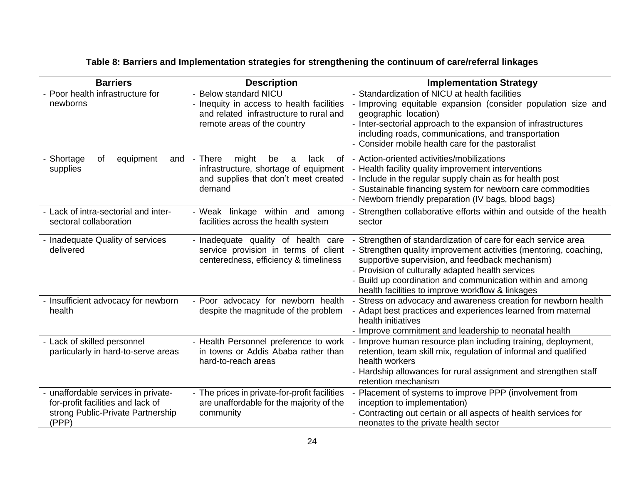# **Table 8: Barriers and Implementation strategies for strengthening the continuum of care/referral linkages**

| <b>Barriers</b>                                                                                                      | <b>Description</b>                                                                                                                           | <b>Implementation Strategy</b>                                                                                                                                                                                                                                                                                                                           |
|----------------------------------------------------------------------------------------------------------------------|----------------------------------------------------------------------------------------------------------------------------------------------|----------------------------------------------------------------------------------------------------------------------------------------------------------------------------------------------------------------------------------------------------------------------------------------------------------------------------------------------------------|
| Poor health infrastructure for<br>newborns                                                                           | - Below standard NICU<br>- Inequity in access to health facilities<br>and related infrastructure to rural and<br>remote areas of the country | - Standardization of NICU at health facilities<br>Improving equitable expansion (consider population size and<br>geographic location)<br>- Inter-sectorial approach to the expansion of infrastructures<br>including roads, communications, and transportation<br>- Consider mobile health care for the pastoralist                                      |
| Shortage<br>of<br>equipment<br>and<br>supplies                                                                       | - There<br>might<br>lack<br>of<br>be<br>a<br>infrastructure, shortage of equipment<br>and supplies that don't meet created<br>demand         | - Action-oriented activities/mobilizations<br>- Health facility quality improvement interventions<br>- Include in the regular supply chain as for health post<br>- Sustainable financing system for newborn care commodities<br>- Newborn friendly preparation (IV bags, blood bags)                                                                     |
| Lack of intra-sectorial and inter-<br>sectoral collaboration                                                         | - Weak linkage within and among<br>facilities across the health system                                                                       | Strengthen collaborative efforts within and outside of the health<br>sector                                                                                                                                                                                                                                                                              |
| - Inadequate Quality of services<br>delivered                                                                        | - Inadequate quality of health care<br>service provision in terms of client<br>centeredness, efficiency & timeliness                         | Strengthen of standardization of care for each service area<br>Strengthen quality improvement activities (mentoring, coaching,<br>supportive supervision, and feedback mechanism)<br>- Provision of culturally adapted health services<br>- Build up coordination and communication within and among<br>health facilities to improve workflow & linkages |
| - Insufficient advocacy for newborn<br>health                                                                        | - Poor advocacy for newborn health<br>despite the magnitude of the problem                                                                   | Stress on advocacy and awareness creation for newborn health<br>- Adapt best practices and experiences learned from maternal<br>health initiatives<br>- Improve commitment and leadership to neonatal health                                                                                                                                             |
| - Lack of skilled personnel<br>particularly in hard-to-serve areas                                                   | - Health Personnel preference to work<br>in towns or Addis Ababa rather than<br>hard-to-reach areas                                          | Improve human resource plan including training, deployment,<br>retention, team skill mix, regulation of informal and qualified<br>health workers<br>- Hardship allowances for rural assignment and strengthen staff<br>retention mechanism                                                                                                               |
| unaffordable services in private-<br>for-profit facilities and lack of<br>strong Public-Private Partnership<br>(PPP) | - The prices in private-for-profit facilities<br>are unaffordable for the majority of the<br>community                                       | Placement of systems to improve PPP (involvement from<br>inception to implementation)<br>- Contracting out certain or all aspects of health services for<br>neonates to the private health sector                                                                                                                                                        |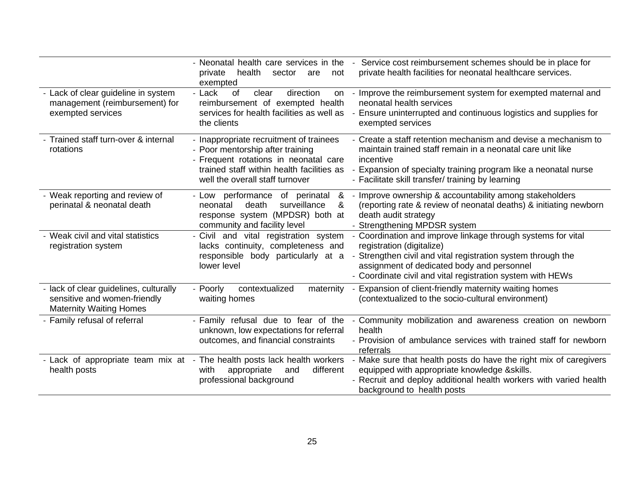|                                                                                                          | - Neonatal health care services in the<br>health<br>private<br>sector<br>are<br>not<br>exempted                                                                                                      | Service cost reimbursement schemes should be in place for<br>private health facilities for neonatal healthcare services.                                                                                                                                            |
|----------------------------------------------------------------------------------------------------------|------------------------------------------------------------------------------------------------------------------------------------------------------------------------------------------------------|---------------------------------------------------------------------------------------------------------------------------------------------------------------------------------------------------------------------------------------------------------------------|
| Lack of clear guideline in system<br>management (reimbursement) for<br>exempted services                 | - Lack<br>of<br>clear<br>direction<br>on<br>reimbursement of exempted health<br>services for health facilities as well as<br>the clients                                                             | Improve the reimbursement system for exempted maternal and<br>neonatal health services<br>Ensure uninterrupted and continuous logistics and supplies for<br>exempted services                                                                                       |
| Trained staff turn-over & internal<br>rotations                                                          | - Inappropriate recruitment of trainees<br>- Poor mentorship after training<br>- Frequent rotations in neonatal care<br>trained staff within health facilities as<br>well the overall staff turnover | Create a staff retention mechanism and devise a mechanism to<br>maintain trained staff remain in a neonatal care unit like<br>incentive<br>Expansion of specialty training program like a neonatal nurse<br>- Facilitate skill transfer/ training by learning       |
| - Weak reporting and review of<br>perinatal & neonatal death                                             | &<br>- Low performance<br>of perinatal<br>surveillance<br>death<br>&<br>neonatal<br>response system (MPDSR) both at<br>community and facility level                                                  | Improve ownership & accountability among stakeholders<br>(reporting rate & review of neonatal deaths) & initiating newborn<br>death audit strategy<br>- Strengthening MPDSR system                                                                                  |
| - Weak civil and vital statistics<br>registration system                                                 | - Civil and vital registration system<br>lacks continuity, completeness and<br>responsible body particularly at a<br>lower level                                                                     | - Coordination and improve linkage through systems for vital<br>registration (digitalize)<br>Strengthen civil and vital registration system through the<br>assignment of dedicated body and personnel<br>- Coordinate civil and vital registration system with HEWs |
| - lack of clear guidelines, culturally<br>sensitive and women-friendly<br><b>Maternity Waiting Homes</b> | contextualized<br>- Poorly<br>maternity<br>waiting homes                                                                                                                                             | Expansion of client-friendly maternity waiting homes<br>(contextualized to the socio-cultural environment)                                                                                                                                                          |
| - Family refusal of referral                                                                             | - Family refusal due to fear of the<br>unknown, low expectations for referral<br>outcomes, and financial constraints                                                                                 | Community mobilization and awareness creation on newborn<br>health<br>- Provision of ambulance services with trained staff for newborn<br>referrals                                                                                                                 |
| Lack of appropriate team mix at<br>health posts                                                          | - The health posts lack health workers<br>appropriate<br>different<br>with<br>and<br>professional background                                                                                         | Make sure that health posts do have the right mix of caregivers<br>equipped with appropriate knowledge & skills.<br>- Recruit and deploy additional health workers with varied health<br>background to health posts                                                 |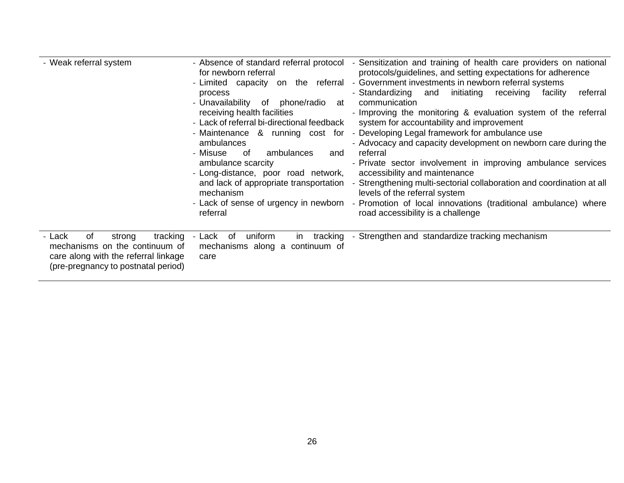| - Weak referral system                                                                                                                              | - Absence of standard referral protocol<br>for newborn referral<br>- Limited capacity on the referral<br>process<br>- Unavailability<br>phone/radio<br>of<br>at<br>receiving health facilities<br>- Lack of referral bi-directional feedback<br>ambulances<br>- Misuse<br>of<br>ambulances<br>and<br>ambulance scarcity<br>- Long-distance, poor road network,<br>mechanism<br>- Lack of sense of urgency in newborn<br>referral | - Sensitization and training of health care providers on national<br>protocols/guidelines, and setting expectations for adherence<br>- Government investments in newborn referral systems<br>- Standardizing<br>initiating<br>and<br>receiving<br>referral<br>facility<br>communication<br>- Improving the monitoring & evaluation system of the referral<br>system for accountability and improvement<br>- Maintenance & running cost for - Developing Legal framework for ambulance use<br>- Advocacy and capacity development on newborn care during the<br>referral<br>- Private sector involvement in improving ambulance services<br>accessibility and maintenance<br>and lack of appropriate transportation - Strengthening multi-sectorial collaboration and coordination at all<br>levels of the referral system<br>- Promotion of local innovations (traditional ambulance) where<br>road accessibility is a challenge |
|-----------------------------------------------------------------------------------------------------------------------------------------------------|----------------------------------------------------------------------------------------------------------------------------------------------------------------------------------------------------------------------------------------------------------------------------------------------------------------------------------------------------------------------------------------------------------------------------------|----------------------------------------------------------------------------------------------------------------------------------------------------------------------------------------------------------------------------------------------------------------------------------------------------------------------------------------------------------------------------------------------------------------------------------------------------------------------------------------------------------------------------------------------------------------------------------------------------------------------------------------------------------------------------------------------------------------------------------------------------------------------------------------------------------------------------------------------------------------------------------------------------------------------------------|
| of<br>tracking<br>- Lack<br>strong<br>mechanisms on the continuum of<br>care along with the referral linkage<br>(pre-pregnancy to postnatal period) | uniform<br>tracking<br>- Lack of<br>in<br>mechanisms along a continuum of<br>care                                                                                                                                                                                                                                                                                                                                                | - Strengthen and standardize tracking mechanism                                                                                                                                                                                                                                                                                                                                                                                                                                                                                                                                                                                                                                                                                                                                                                                                                                                                                  |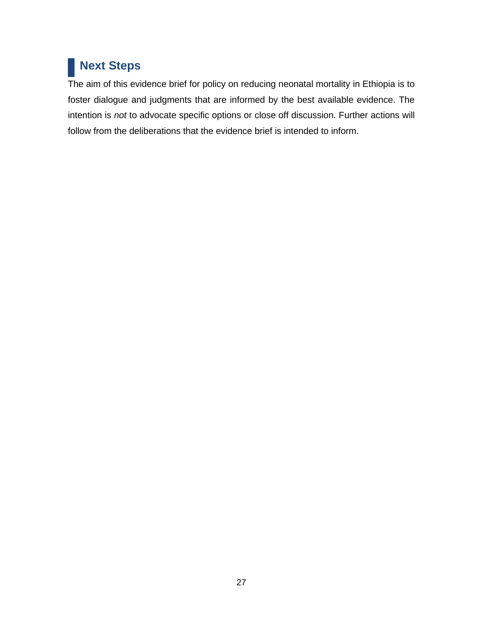# **Next Steps**

The aim of this evidence brief for policy on reducing neonatal mortality in Ethiopia is to foster dialogue and judgments that are informed by the best available evidence. The intention is *not* to advocate specific options or close off discussion. Further actions will follow from the deliberations that the evidence brief is intended to inform.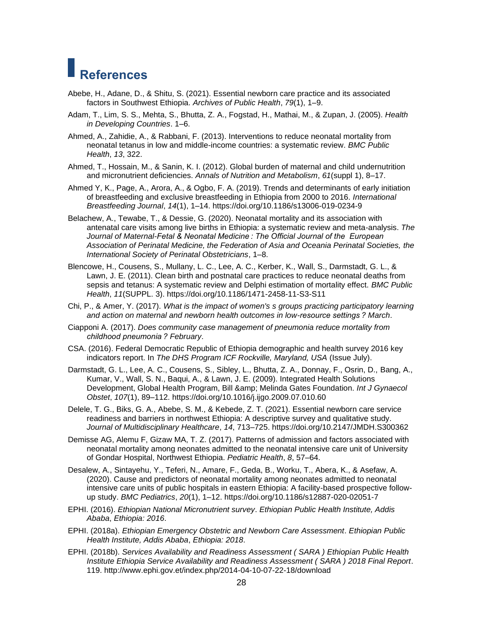# **References**

- Abebe, H., Adane, D., & Shitu, S. (2021). Essential newborn care practice and its associated factors in Southwest Ethiopia. *Archives of Public Health*, *79*(1), 1–9.
- Adam, T., Lim, S. S., Mehta, S., Bhutta, Z. A., Fogstad, H., Mathai, M., & Zupan, J. (2005). *Health in Developing Countries*. 1–6.
- Ahmed, A., Zahidie, A., & Rabbani, F. (2013). Interventions to reduce neonatal mortality from neonatal tetanus in low and middle-income countries: a systematic review. *BMC Public Health*, *13*, 322.
- Ahmed, T., Hossain, M., & Sanin, K. I. (2012). Global burden of maternal and child undernutrition and micronutrient deficiencies. *Annals of Nutrition and Metabolism*, *61*(suppl 1), 8–17.
- Ahmed Y, K., Page, A., Arora, A., & Ogbo, F. A. (2019). Trends and determinants of early initiation of breastfeeding and exclusive breastfeeding in Ethiopia from 2000 to 2016. *International Breastfeeding Journal*, *14*(1), 1–14. https://doi.org/10.1186/s13006-019-0234-9
- Belachew, A., Tewabe, T., & Dessie, G. (2020). Neonatal mortality and its association with antenatal care visits among live births in Ethiopia: a systematic review and meta-analysis. *The Journal of Maternal-Fetal & Neonatal Medicine : The Official Journal of the European Association of Perinatal Medicine, the Federation of Asia and Oceania Perinatal Societies, the International Society of Perinatal Obstetricians*, 1–8.
- Blencowe, H., Cousens, S., Mullany, L. C., Lee, A. C., Kerber, K., Wall, S., Darmstadt, G. L., & Lawn, J. E. (2011). Clean birth and postnatal care practices to reduce neonatal deaths from sepsis and tetanus: A systematic review and Delphi estimation of mortality effect. *BMC Public Health*, *11*(SUPPL. 3). https://doi.org/10.1186/1471-2458-11-S3-S11
- Chi, P., & Amer, Y. (2017). *What is the impact of women's s groups practicing participatory learning and action on maternal and newborn health outcomes in low-resource settings ? March*.
- Ciapponi A. (2017). *Does community case management of pneumonia reduce mortality from childhood pneumonia ? February*.
- CSA. (2016). Federal Democratic Republic of Ethiopia demographic and health survey 2016 key indicators report. In *The DHS Program ICF Rockville, Maryland, USA* (Issue July).
- Darmstadt, G. L., Lee, A. C., Cousens, S., Sibley, L., Bhutta, Z. A., Donnay, F., Osrin, D., Bang, A., Kumar, V., Wall, S. N., Baqui, A., & Lawn, J. E. (2009). Integrated Health Solutions Development, Global Health Program, Bill & amp; Melinda Gates Foundation. *Int J Gynaecol Obstet*, *107*(1), 89–112. https://doi.org/10.1016/j.ijgo.2009.07.010.60
- Delele, T. G., Biks, G. A., Abebe, S. M., & Kebede, Z. T. (2021). Essential newborn care service readiness and barriers in northwest Ethiopia: A descriptive survey and qualitative study. *Journal of Multidisciplinary Healthcare*, *14*, 713–725. https://doi.org/10.2147/JMDH.S300362
- Demisse AG, Alemu F, Gizaw MA, T. Z. (2017). Patterns of admission and factors associated with neonatal mortality among neonates admitted to the neonatal intensive care unit of University of Gondar Hospital, Northwest Ethiopia. *Pediatric Health*, *8*, 57–64.
- Desalew, A., Sintayehu, Y., Teferi, N., Amare, F., Geda, B., Worku, T., Abera, K., & Asefaw, A. (2020). Cause and predictors of neonatal mortality among neonates admitted to neonatal intensive care units of public hospitals in eastern Ethiopia: A facility-based prospective followup study. *BMC Pediatrics*, *20*(1), 1–12. https://doi.org/10.1186/s12887-020-02051-7
- EPHI. (2016). *Ethiopian National Micronutrient survey*. *Ethiopian Public Health Institute, Addis Ababa*, *Ethiopia: 2016*.
- EPHI. (2018a). *Ethiopian Emergency Obstetric and Newborn Care Assessment*. *Ethiopian Public Health Institute, Addis Ababa*, *Ethiopia: 2018*.
- EPHI. (2018b). *Services Availability and Readiness Assessment ( SARA ) Ethiopian Public Health Institute Ethiopia Service Availability and Readiness Assessment ( SARA ) 2018 Final Report*. 119. http://www.ephi.gov.et/index.php/2014-04-10-07-22-18/download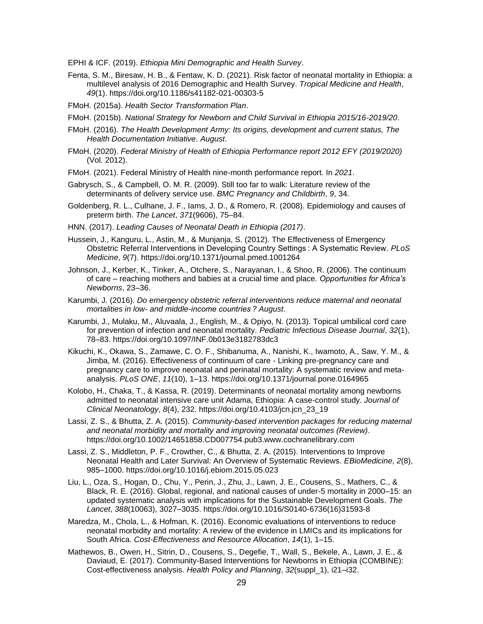EPHI & ICF. (2019). *Ethiopia Mini Demographic and Health Survey*.

- Fenta, S. M., Biresaw, H. B., & Fentaw, K. D. (2021). Risk factor of neonatal mortality in Ethiopia: a multilevel analysis of 2016 Demographic and Health Survey. *Tropical Medicine and Health*, *49*(1). https://doi.org/10.1186/s41182-021-00303-5
- FMoH. (2015a). *Health Sector Transformation Plan*.

FMoH. (2015b). *National Strategy for Newborn and Child Survival in Ethiopia 2015/16-2019/20*.

- FMoH. (2016). *The Health Development Army: Its origins, development and current status, The Health Documentation Initiative*. *August*.
- FMoH. (2020). *Federal Ministry of Health of Ethiopia Performance report 2012 EFY (2019/2020)* (Vol. 2012).

FMoH. (2021). Federal Ministry of Health nine-month performance report. In *2021*.

- Gabrysch, S., & Campbell, O. M. R. (2009). Still too far to walk: Literature review of the determinants of delivery service use. *BMC Pregnancy and Childbirth*, *9*, 34.
- Goldenberg, R. L., Culhane, J. F., Iams, J. D., & Romero, R. (2008). Epidemiology and causes of preterm birth. *The Lancet*, *371*(9606), 75–84.
- HNN. (2017). *Leading Causes of Neonatal Death in Ethiopia (2017)*.
- Hussein, J., Kanguru, L., Astin, M., & Munjanja, S. (2012). The Effectiveness of Emergency Obstetric Referral Interventions in Developing Country Settings : A Systematic Review. *PLoS Medicine*, *9*(7). https://doi.org/10.1371/journal.pmed.1001264
- Johnson, J., Kerber, K., Tinker, A., Otchere, S., Narayanan, I., & Shoo, R. (2006). The continuum of care – reaching mothers and babies at a crucial time and place. *Opportunities for Africa's Newborns*, 23–36.
- Karumbi, J. (2016). *Do emergency obstetric referral interventions reduce maternal and neonatal mortalities in low- and middle-income countries ? August*.
- Karumbi, J., Mulaku, M., Aluvaala, J., English, M., & Opiyo, N. (2013). Topical umbilical cord care for prevention of infection and neonatal mortality. *Pediatric Infectious Disease Journal*, *32*(1), 78–83. https://doi.org/10.1097/INF.0b013e3182783dc3
- Kikuchi, K., Okawa, S., Zamawe, C. O. F., Shibanuma, A., Nanishi, K., Iwamoto, A., Saw, Y. M., & Jimba, M. (2016). Effectiveness of continuum of care - Linking pre-pregnancy care and pregnancy care to improve neonatal and perinatal mortality: A systematic review and metaanalysis. *PLoS ONE*, *11*(10), 1–13. https://doi.org/10.1371/journal.pone.0164965
- Kolobo, H., Chaka, T., & Kassa, R. (2019). Determinants of neonatal mortality among newborns admitted to neonatal intensive care unit Adama, Ethiopia: A case-control study. *Journal of Clinical Neonatology*, *8*(4), 232. https://doi.org/10.4103/jcn.jcn\_23\_19
- Lassi, Z. S., & Bhutta, Z. A. (2015). *Community-based intervention packages for reducing maternal and neonatal morbidity and mortality and improving neonatal outcomes (Review)*. https://doi.org/10.1002/14651858.CD007754.pub3.www.cochranelibrary.com
- Lassi, Z. S., Middleton, P. F., Crowther, C., & Bhutta, Z. A. (2015). Interventions to Improve Neonatal Health and Later Survival: An Overview of Systematic Reviews. *EBioMedicine*, *2*(8), 985–1000. https://doi.org/10.1016/j.ebiom.2015.05.023
- Liu, L., Oza, S., Hogan, D., Chu, Y., Perin, J., Zhu, J., Lawn, J. E., Cousens, S., Mathers, C., & Black, R. E. (2016). Global, regional, and national causes of under-5 mortality in 2000–15: an updated systematic analysis with implications for the Sustainable Development Goals. *The Lancet*, *388*(10063), 3027–3035. https://doi.org/10.1016/S0140-6736(16)31593-8
- Maredza, M., Chola, L., & Hofman, K. (2016). Economic evaluations of interventions to reduce neonatal morbidity and mortality: A review of the evidence in LMICs and its implications for South Africa. *Cost-Effectiveness and Resource Allocation*, *14*(1), 1–15.
- Mathewos, B., Owen, H., Sitrin, D., Cousens, S., Degefie, T., Wall, S., Bekele, A., Lawn, J. E., & Daviaud, E. (2017). Community-Based Interventions for Newborns in Ethiopia (COMBINE): Cost-effectiveness analysis. *Health Policy and Planning*, *32*(suppl\_1), i21–i32.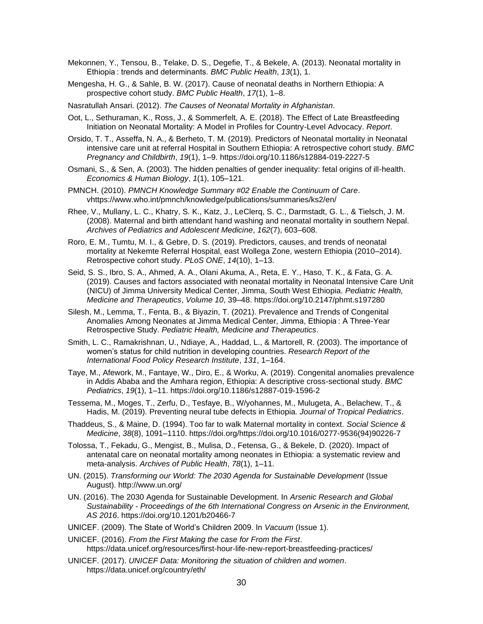- Mekonnen, Y., Tensou, B., Telake, D. S., Degefie, T., & Bekele, A. (2013). Neonatal mortality in Ethiopia : trends and determinants. *BMC Public Health*, *13*(1), 1.
- Mengesha, H. G., & Sahle, B. W. (2017). Cause of neonatal deaths in Northern Ethiopia: A prospective cohort study. *BMC Public Health*, *17*(1), 1–8.

Nasratullah Ansari. (2012). *The Causes of Neonatal Mortality in Afghanistan*.

- Oot, L., Sethuraman, K., Ross, J., & Sommerfelt, A. E. (2018). The Effect of Late Breastfeeding Initiation on Neonatal Mortality: A Model in Profiles for Country-Level Advocacy. *Report*.
- Orsido, T. T., Asseffa, N. A., & Berheto, T. M. (2019). Predictors of Neonatal mortality in Neonatal intensive care unit at referral Hospital in Southern Ethiopia: A retrospective cohort study. *BMC Pregnancy and Childbirth*, *19*(1), 1–9. https://doi.org/10.1186/s12884-019-2227-5
- Osmani, S., & Sen, A. (2003). The hidden penalties of gender inequality: fetal origins of ill-health. *Economics & Human Biology*, *1*(1), 105–121.
- PMNCH. (2010). *PMNCH Knowledge Summary #02 Enable the Continuum of Care*. vhttps://www.who.int/pmnch/knowledge/publications/summaries/ks2/en/
- Rhee, V., Mullany, L. C., Khatry, S. K., Katz, J., LeClerq, S. C., Darmstadt, G. L., & Tielsch, J. M. (2008). Maternal and birth attendant hand washing and neonatal mortality in southern Nepal. *Archives of Pediatrics and Adolescent Medicine*, *162*(7), 603–608.
- Roro, E. M., Tumtu, M. I., & Gebre, D. S. (2019). Predictors, causes, and trends of neonatal mortality at Nekemte Referral Hospital, east Wollega Zone, western Ethiopia (2010–2014). Retrospective cohort study. *PLoS ONE*, *14*(10), 1–13.
- Seid, S. S., Ibro, S. A., Ahmed, A. A., Olani Akuma, A., Reta, E. Y., Haso, T. K., & Fata, G. A. (2019). Causes and factors associated with neonatal mortality in Neonatal Intensive Care Unit (NICU) of Jimma University Medical Center, Jimma, South West Ethiopia. *Pediatric Health, Medicine and Therapeutics*, *Volume 10*, 39–48. https://doi.org/10.2147/phmt.s197280
- Silesh, M., Lemma, T., Fenta, B., & Biyazin, T. (2021). Prevalence and Trends of Congenital Anomalies Among Neonates at Jimma Medical Center, Jimma, Ethiopia : A Three-Year Retrospective Study. *Pediatric Health, Medicine and Therapeutics*.
- Smith, L. C., Ramakrishnan, U., Ndiaye, A., Haddad, L., & Martorell, R. (2003). The importance of women's status for child nutrition in developing countries. *Research Report of the International Food Policy Research Institute*, *131*, 1–164.
- Taye, M., Afework, M., Fantaye, W., Diro, E., & Worku, A. (2019). Congenital anomalies prevalence in Addis Ababa and the Amhara region, Ethiopia: A descriptive cross-sectional study. *BMC Pediatrics*, *19*(1), 1–11. https://doi.org/10.1186/s12887-019-1596-2
- Tessema, M., Moges, T., Zerfu, D., Tesfaye, B., W/yohannes, M., Mulugeta, A., Belachew, T., & Hadis, M. (2019). Preventing neural tube defects in Ethiopia. *Journal of Tropical Pediatrics*.
- Thaddeus, S., & Maine, D. (1994). Too far to walk Maternal mortality in context. *Social Science & Medicine*, *38*(8), 1091–1110. https://doi.org/https://doi.org/10.1016/0277-9536(94)90226-7
- Tolossa, T., Fekadu, G., Mengist, B., Mulisa, D., Fetensa, G., & Bekele, D. (2020). Impact of antenatal care on neonatal mortality among neonates in Ethiopia: a systematic review and meta-analysis. *Archives of Public Health*, *78*(1), 1–11.
- UN. (2015). *Transforming our World: The 2030 Agenda for Sustainable Development* (Issue August). http://www.un.org/
- UN. (2016). The 2030 Agenda for Sustainable Development. In *Arsenic Research and Global Sustainability - Proceedings of the 6th International Congress on Arsenic in the Environment, AS 2016*. https://doi.org/10.1201/b20466-7
- UNICEF. (2009). The State of World's Children 2009. In *Vacuum* (Issue 1).
- UNICEF. (2016). *From the First Making the case for From the First*. https://data.unicef.org/resources/first-hour-life-new-report-breastfeeding-practices/
- UNICEF. (2017). *UNICEF Data: Monitoring the situation of children and women*. https://data.unicef.org/country/eth/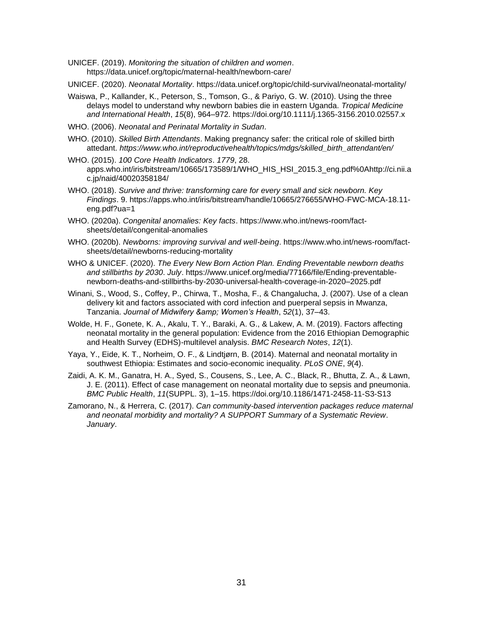- UNICEF. (2019). *Monitoring the situation of children and women*. https://data.unicef.org/topic/maternal-health/newborn-care/
- UNICEF. (2020). *Neonatal Mortality*. https://data.unicef.org/topic/child-survival/neonatal-mortality/
- Waiswa, P., Kallander, K., Peterson, S., Tomson, G., & Pariyo, G. W. (2010). Using the three delays model to understand why newborn babies die in eastern Uganda. *Tropical Medicine and International Health*, *15*(8), 964–972. https://doi.org/10.1111/j.1365-3156.2010.02557.x
- WHO. (2006). *Neonatal and Perinatal Mortality in Sudan*.
- WHO. (2010). *Skilled Birth Attendants*. Making pregnancy safer: the critical role of skilled birth attedant. *https://www.who.int/reproductivehealth/topics/mdgs/skilled\_birth\_attendant/en/*
- WHO. (2015). *100 Core Health Indicators*. *1779*, 28. apps.who.int/iris/bitstream/10665/173589/1/WHO\_HIS\_HSI\_2015.3\_eng.pdf%0Ahttp://ci.nii.a c.jp/naid/40020358184/
- WHO. (2018). *Survive and thrive: transforming care for every small and sick newborn. Key Findings*. 9. https://apps.who.int/iris/bitstream/handle/10665/276655/WHO-FWC-MCA-18.11 eng.pdf?ua=1
- WHO. (2020a). *Congenital anomalies: Key facts*. https://www.who.int/news-room/factsheets/detail/congenital-anomalies
- WHO. (2020b). *Newborns: improving survival and well-being*. https://www.who.int/news-room/factsheets/detail/newborns-reducing-mortality
- WHO & UNICEF. (2020). *The Every New Born Action Plan. Ending Preventable newborn deaths and stillbirths by 2030*. *July*. https://www.unicef.org/media/77166/file/Ending-preventablenewborn-deaths-and-stillbirths-by-2030-universal-health-coverage-in-2020–2025.pdf
- Winani, S., Wood, S., Coffey, P., Chirwa, T., Mosha, F., & Changalucha, J. (2007). Use of a clean delivery kit and factors associated with cord infection and puerperal sepsis in Mwanza, Tanzania. *Journal of Midwifery & Women's Health*, *52*(1), 37–43.
- Wolde, H. F., Gonete, K. A., Akalu, T. Y., Baraki, A. G., & Lakew, A. M. (2019). Factors affecting neonatal mortality in the general population: Evidence from the 2016 Ethiopian Demographic and Health Survey (EDHS)-multilevel analysis. *BMC Research Notes*, *12*(1).
- Yaya, Y., Eide, K. T., Norheim, O. F., & Lindtjørn, B. (2014). Maternal and neonatal mortality in southwest Ethiopia: Estimates and socio-economic inequality. *PLoS ONE*, *9*(4).
- Zaidi, A. K. M., Ganatra, H. A., Syed, S., Cousens, S., Lee, A. C., Black, R., Bhutta, Z. A., & Lawn, J. E. (2011). Effect of case management on neonatal mortality due to sepsis and pneumonia. *BMC Public Health*, *11*(SUPPL. 3), 1–15. https://doi.org/10.1186/1471-2458-11-S3-S13
- Zamorano, N., & Herrera, C. (2017). *Can community-based intervention packages reduce maternal and neonatal morbidity and mortality? A SUPPORT Summary of a Systematic Review*. *January*.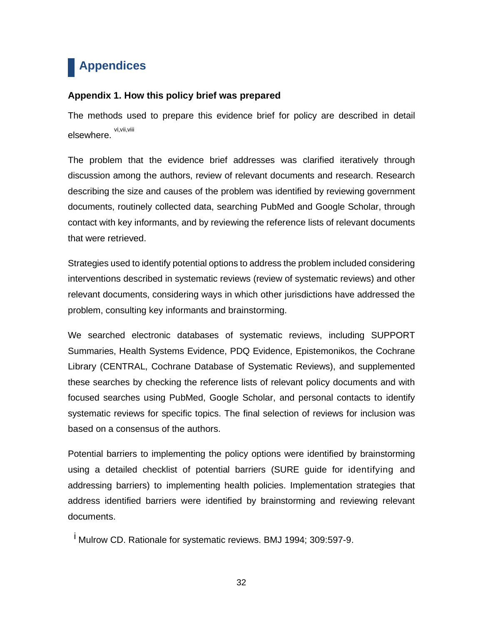# **Appendices**

#### **Appendix 1. How this policy brief was prepared**

The methods used to prepare this evidence brief for policy are described in detail elsewhere. vi,vii,viii

The problem that the evidence brief addresses was clarified iteratively through discussion among the authors, review of relevant documents and research. Research describing the size and causes of the problem was identified by reviewing government documents, routinely collected data, searching PubMed and Google Scholar, through contact with key informants, and by reviewing the reference lists of relevant documents that were retrieved.

Strategies used to identify potential options to address the problem included considering interventions described in systematic reviews (review of systematic reviews) and other relevant documents, considering ways in which other jurisdictions have addressed the problem, consulting key informants and brainstorming.

We searched electronic databases of systematic reviews, including SUPPORT Summaries, Health Systems Evidence, PDQ Evidence, Epistemonikos, the Cochrane Library (CENTRAL, Cochrane Database of Systematic Reviews), and supplemented these searches by checking the reference lists of relevant policy documents and with focused searches using PubMed, Google Scholar, and personal contacts to identify systematic reviews for specific topics. The final selection of reviews for inclusion was based on a consensus of the authors.

Potential barriers to implementing the policy options were identified by brainstorming using a detailed checklist of potential barriers (SURE guide for identifying and addressing barriers) to implementing health policies. Implementation strategies that address identified barriers were identified by brainstorming and reviewing relevant documents.

<sup>i</sup> Mulrow CD. Rationale for systematic reviews. BMJ 1994; 309:597-9.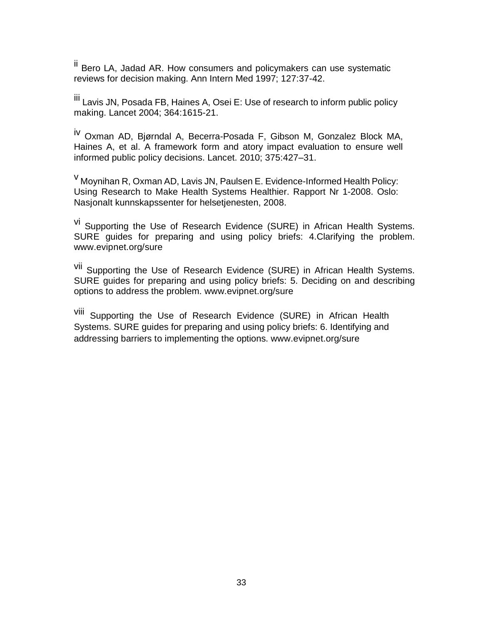ii Bero LA, Jadad AR. How consumers and policymakers can use systematic reviews for decision making. Ann Intern Med 1997; 127:37-42.

<sup>iii</sup> Lavis JN, Posada FB, Haines A, Osei E: Use of research to inform public policy making. Lancet 2004; 364:1615-21.

iv Oxman AD, Bjørndal A, Becerra-Posada F, Gibson M, Gonzalez Block MA, Haines A, et al. A framework form and atory impact evaluation to ensure well informed public policy decisions. Lancet. 2010; 375:427–31.

<sup>v</sup> Moynihan R, Oxman AD, Lavis JN, Paulsen E. Evidence-Informed Health Policy: Using Research to Make Health Systems Healthier. Rapport Nr 1-2008. Oslo: Nasjonalt kunnskapssenter for helsetjenesten, 2008.

vi Supporting the Use of Research Evidence (SURE) in African Health Systems. SURE guides for preparing and using policy briefs: 4.Clarifying the problem. [www.evipnet.org/sure](http://www.evipnet.org/sure)

vii Supporting the Use of Research Evidence (SURE) in African Health Systems. SURE guides for preparing and using policy briefs: 5. Deciding on and describing options to address the problem. [www.evipnet.org/sure](http://www.evipnet.org/sure)

viii Supporting the Use of Research Evidence (SURE) in African Health Systems. SURE guides for preparing and using policy briefs: 6. Identifying and addressing barriers to implementing the options. [www.evipnet.org/sure](http://www.evipnet.org/sure)